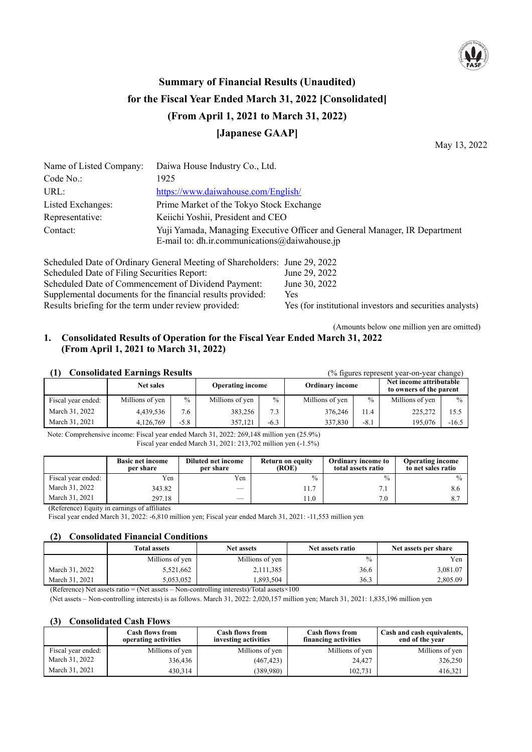

# **Summary of Financial Results (Unaudited) for the Fiscal Year Ended March 31, 2022 [Consolidated] (From April 1, 2021 to March 31, 2022) [Japanese GAAP]**

May 13, 2022

| Name of Listed Company: | Daiwa House Industry Co., Ltd.                                                                                                  |
|-------------------------|---------------------------------------------------------------------------------------------------------------------------------|
| Code No.:               | 1925                                                                                                                            |
| URL:                    | https://www.daiwahouse.com/English/                                                                                             |
| Listed Exchanges:       | Prime Market of the Tokyo Stock Exchange                                                                                        |
| Representative:         | Keiichi Yoshii, President and CEO                                                                                               |
| Contact:                | Yuji Yamada, Managing Executive Officer and General Manager, IR Department<br>E-mail to: dh.ir.communications $@$ daiwahouse.jp |

Scheduled Date of Ordinary General Meeting of Shareholders: June 29, 2022 Scheduled Date of Filing Securities Report: June 29, 2022 Scheduled Date of Commencement of Dividend Payment: June 30, 2022 Supplemental documents for the financial results provided: Yes Results briefing for the term under review provided: Yes (for institutional investors and securities analysts)

#### (Amounts below one million yen are omitted) **1. Consolidated Results of Operation for the Fiscal Year Ended March 31, 2022 (From April 1, 2021 to March 31, 2022)**

| <b>Consolidated Earnings Results</b> | (% figures represent year-on-year change) |        |                         |               |                        |        |                                                    |               |
|--------------------------------------|-------------------------------------------|--------|-------------------------|---------------|------------------------|--------|----------------------------------------------------|---------------|
|                                      | <b>Net sales</b>                          |        | <b>Operating income</b> |               | <b>Ordinary income</b> |        | Net income attributable<br>to owners of the parent |               |
| Fiscal year ended:                   | Millions of yen                           | $\%$   | Millions of yen         | $\frac{0}{0}$ | Millions of yen        | $\%$   | Millions of yen                                    | $\frac{0}{0}$ |
| March 31, 2022                       | 4,439,536                                 | 7.6    | 383,256                 | 7.3           | 376,246                | 11.4   | 225,272                                            | 15.5          |
| March 31, 2021                       | 4,126,769                                 | $-5.8$ | 357.121                 | $-6.3$        | 337,830                | $-8.1$ | 195,076                                            | $-16.5$       |

Note: Comprehensive income: Fiscal year ended March 31, 2022: 269,148 million yen (25.9%) Fiscal year ended March 31, 2021: 213,702 million yen (-1.5%)

|                    | <b>Basic net income</b><br>per share | Diluted net income<br>per share | Return on equity<br>(ROE) | <b>Ordinary income to</b><br>total assets ratio | <b>Operating income</b><br>to net sales ratio |
|--------------------|--------------------------------------|---------------------------------|---------------------------|-------------------------------------------------|-----------------------------------------------|
| Fiscal year ended: | $v_{en}$                             | Yen                             | $\frac{0}{0}$             | $\frac{0}{0}$                                   | $\frac{0}{0}$                                 |
| March 31, 2022     | 343.82                               |                                 | 11.7                      | 7.1                                             |                                               |
| March 31, 2021     | 297.18                               |                                 | 11.0                      | 7.0                                             |                                               |

(Reference) Equity in earnings of affiliates

Fiscal year ended March 31, 2022: -6,810 million yen; Fiscal year ended March 31, 2021: -11,553 million yen

### **(2) Consolidated Financial Conditions**

|                | <b>Total assets</b> | <b>Net assets</b> |      | Net assets per share |
|----------------|---------------------|-------------------|------|----------------------|
|                | Millions of yen     | Millions of yen   | $\%$ | Yen                  |
| March 31, 2022 | 5,521,662           | 2,111,385         | 36.6 | 3,081.07             |
| March 31, 2021 | 5.053.052           | .393,504          | 36.3 | 2,805.09             |

(Reference) Net assets ratio = (Net assets – Non-controlling interests)/Total assets $\times$ 100

(Net assets – Non-controlling interests) is as follows. March 31, 2022: 2,020,157 million yen; March 31, 2021: 1,835,196 million yen

#### **(3) Consolidated Cash Flows**

|                    | <b>Cash flows from</b><br>operating activities | <b>Cash flows from</b><br>investing activities | <b>Cash flows from</b><br>financing activities | Cash and cash equivalents,<br>end of the year |
|--------------------|------------------------------------------------|------------------------------------------------|------------------------------------------------|-----------------------------------------------|
| Fiscal year ended: | Millions of yen                                | Millions of yen                                | Millions of yen                                | Millions of yen                               |
| March 31, 2022     | 336,436                                        | (467, 423)                                     | 24,427                                         | 326,250                                       |
| March 31, 2021     | 430.314                                        | (389,980)                                      | 102,731                                        | 416.321                                       |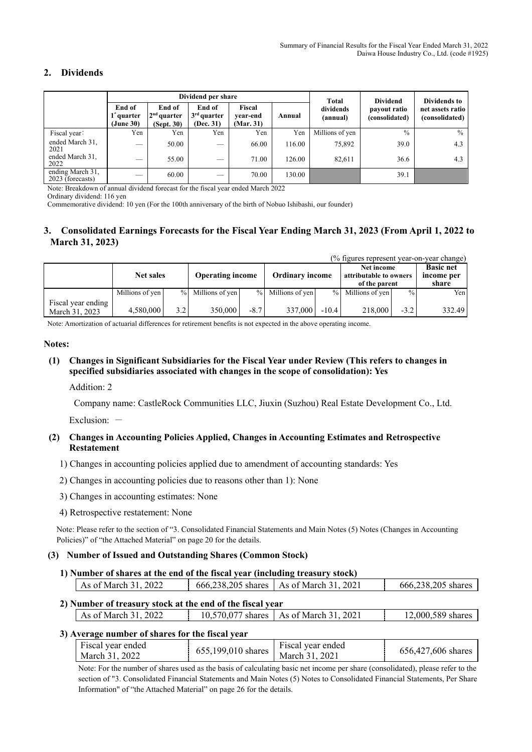# **2. Dividends**

|                                         |                                               |                                       | Dividend per share                   |                                 |        | Total                 | <b>Dividend</b>                | Dividends to                       |
|-----------------------------------------|-----------------------------------------------|---------------------------------------|--------------------------------------|---------------------------------|--------|-----------------------|--------------------------------|------------------------------------|
|                                         | End of<br>1 <sup>"</sup> quarter<br>(June 30) | End of<br>$2nd$ quarter<br>(Sept. 30) | End of<br>$3rd$ quarter<br>(Dec. 31) | Fiscal<br>vear-end<br>(Mar. 31) | Annual | dividends<br>(annual) | payout ratio<br>(consolidated) | net assets ratio<br>(consolidated) |
| Fiscal year:                            | Yen                                           | Yen                                   | Yen                                  | Yen                             | Yen    | Millions of yen       | $\frac{0}{0}$                  | $\frac{0}{0}$                      |
| ended March 31,<br>2021                 | $\overline{\phantom{a}}$                      | 50.00                                 | $\overline{\phantom{a}}$             | 66.00                           | 116.00 | 75,892                | 39.0                           | 4.3                                |
| ended March 31,<br>2022                 | -                                             | 55.00                                 | $\overline{\phantom{a}}$             | 71.00                           | 126.00 | 82,611                | 36.6                           | 4.3                                |
| ending March $31$ ,<br>2023 (forecasts) | $\overline{\phantom{a}}$                      | 60.00                                 | $\overline{\phantom{a}}$             | 70.00                           | 130.00 |                       | 39.1                           |                                    |

Note: Breakdown of annual dividend forecast for the fiscal year ended March 2022

Ordinary dividend: 116 yen

Commemorative dividend: 10 yen (For the 100th anniversary of the birth of Nobuo Ishibashi, our founder)

## **3. Consolidated Earnings Forecasts for the Fiscal Year Ending March 31, 2023 (From April 1, 2022 to March 31, 2023)**

|                                      |                  |     |                         |        |                        |         | (% figures represent year-on-year change)             |               |                                         |
|--------------------------------------|------------------|-----|-------------------------|--------|------------------------|---------|-------------------------------------------------------|---------------|-----------------------------------------|
|                                      | <b>Net sales</b> |     | <b>Operating income</b> |        | <b>Ordinary income</b> |         | Net income<br>attributable to owners<br>of the parent |               | <b>Basic net</b><br>income per<br>share |
|                                      | Millions of yen  |     | % Millions of yen       |        | % Millions of yen      |         | $%$ Millions of yen                                   | $\frac{0}{0}$ | Yen                                     |
| Fiscal year ending<br>March 31, 2023 | 4,580,000        | 3.2 | 350,000                 | $-8.7$ | 337,000                | $-10.4$ | 218,000                                               | $-3.2$        | 332.49                                  |

Note: Amortization of actuarial differences for retirement benefits is not expected in the above operating income.

#### **Notes:**

#### **(1) Changes in Significant Subsidiaries for the Fiscal Year under Review (This refers to changes in specified subsidiaries associated with changes in the scope of consolidation): Yes**

#### Addition: 2

Company name: CastleRock Communities LLC, Jiuxin (Suzhou) Real Estate Development Co., Ltd.

Exclusion:  $-$ 

#### **(2) Changes in Accounting Policies Applied, Changes in Accounting Estimates and Retrospective Restatement**

- 1) Changes in accounting policies applied due to amendment of accounting standards: Yes
- 2) Changes in accounting policies due to reasons other than 1): None
- 3) Changes in accounting estimates: None
- 4) Retrospective restatement: None

Note: Please refer to the section of "3. Consolidated Financial Statements and Main Notes (5) Notes (Changes in Accounting Policies)" of "the Attached Material" on page 20 for the details.

#### **(3) Number of Issued and Outstanding Shares (Common Stock)**

**1) Number of shares at the end of the fiscal year (including treasury stock)** 

| As of March 31, 2022 | 666,238,205 shares   As of March 31, 2021 | 666,238,205 shares |
|----------------------|-------------------------------------------|--------------------|
|                      |                                           |                    |

## **2) Number of treasury stock at the end of the fiscal year**

| As of March $31.1$ | 2022 | 10,570,077 shares   As of March 31, 2021 | 12,000,589 shares |
|--------------------|------|------------------------------------------|-------------------|
|                    |      |                                          |                   |

#### **3) Average number of shares for the fiscal year**

| Fiscal year ended<br>March 31, 2022 | Fiscal year ended<br>$(655,199,010 \text{ shares }   \text{March } 31, 2021)$ | 656,427,606 shares |
|-------------------------------------|-------------------------------------------------------------------------------|--------------------|

Note: For the number of shares used as the basis of calculating basic net income per share (consolidated), please refer to the section of "3. Consolidated Financial Statements and Main Notes (5) Notes to Consolidated Financial Statements, Per Share Information" of "the Attached Material" on page 26 for the details.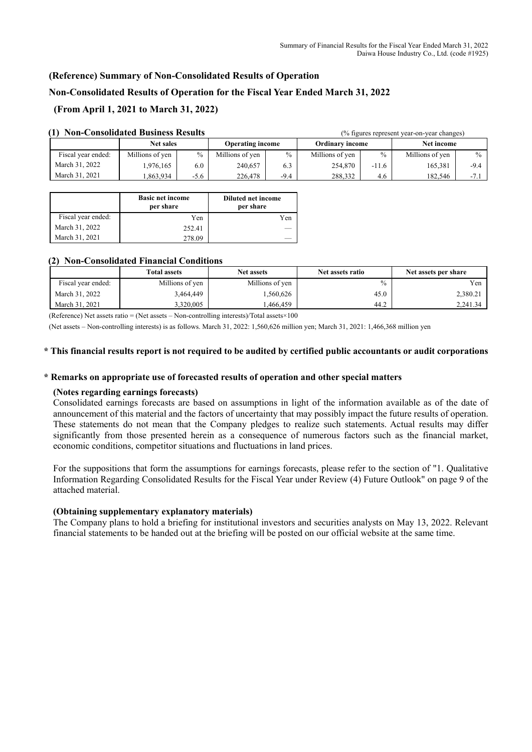# **(Reference) Summary of Non-Consolidated Results of Operation**

## **Non-Consolidated Results of Operation for the Fiscal Year Ended March 31, 2022**

# **(From April 1, 2021 to March 31, 2022)**

| гон-Сонзондаци Dusiness Results |                  |        | $\sim$ 11guies represent year-on-year changes) |               |                        |               |                 |               |
|---------------------------------|------------------|--------|------------------------------------------------|---------------|------------------------|---------------|-----------------|---------------|
|                                 | <b>Net sales</b> |        | <b>Operating income</b>                        |               | <b>Ordinary income</b> |               | Net income      |               |
| Fiscal year ended:              | Millions of yen  | $\%$   | Millions of yen                                | $\frac{0}{0}$ | Millions of yen        | $\frac{0}{0}$ | Millions of yen | $\frac{0}{0}$ |
| March 31, 2022                  | .976,165         | 6.0    | 240,657                                        | 6.3           | 254,870                | $-11.6$       | 165.381         | $-9.4$        |
| March 31, 2021                  | .863.934         | $-5.6$ | 226,478                                        | $-9.4$        | 288,332                | 4.6           | 182.546         | $-7.1$        |

# **(1) Non-Consolidated Business Results** (% figures represent year-on-year changes)

|                    | <b>Basic net income</b><br>per share | <b>Diluted net income</b><br>per share |
|--------------------|--------------------------------------|----------------------------------------|
| Fiscal year ended: | Yen                                  | Yen                                    |
| March 31, 2022     | 252.41                               |                                        |
| March 31, 2021     | 278.09                               |                                        |

#### **(2) Non-Consolidated Financial Conditions**

|                    | <b>Total assets</b> | <b>Net assets</b> | Net assets ratio | Net assets per share |
|--------------------|---------------------|-------------------|------------------|----------------------|
| Fiscal year ended: | Millions of yen     | Millions of yen   | $\%$             | Yen                  |
| March 31, 2022     | 3,464,449           | 1,560,626         | 45.0             | 2,380.21             |
| March 31, 2021     | 3.320.005           | .466.459          | 44.2             | 2,241.34             |

(Reference) Net assets ratio = (Net assets – Non-controlling interests)/Total assets $\times$ 100

(Net assets – Non-controlling interests) is as follows. March 31, 2022: 1,560,626 million yen; March 31, 2021: 1,466,368 million yen

#### **\* This financial results report is not required to be audited by certified public accountants or audit corporations**

#### **\* Remarks on appropriate use of forecasted results of operation and other special matters**

#### **(Notes regarding earnings forecasts)**

Consolidated earnings forecasts are based on assumptions in light of the information available as of the date of announcement of this material and the factors of uncertainty that may possibly impact the future results of operation. These statements do not mean that the Company pledges to realize such statements. Actual results may differ significantly from those presented herein as a consequence of numerous factors such as the financial market, economic conditions, competitor situations and fluctuations in land prices.

For the suppositions that form the assumptions for earnings forecasts, please refer to the section of "1. Qualitative Information Regarding Consolidated Results for the Fiscal Year under Review (4) Future Outlook" on page 9 of the attached material.

#### **(Obtaining supplementary explanatory materials)**

The Company plans to hold a briefing for institutional investors and securities analysts on May 13, 2022. Relevant financial statements to be handed out at the briefing will be posted on our official website at the same time.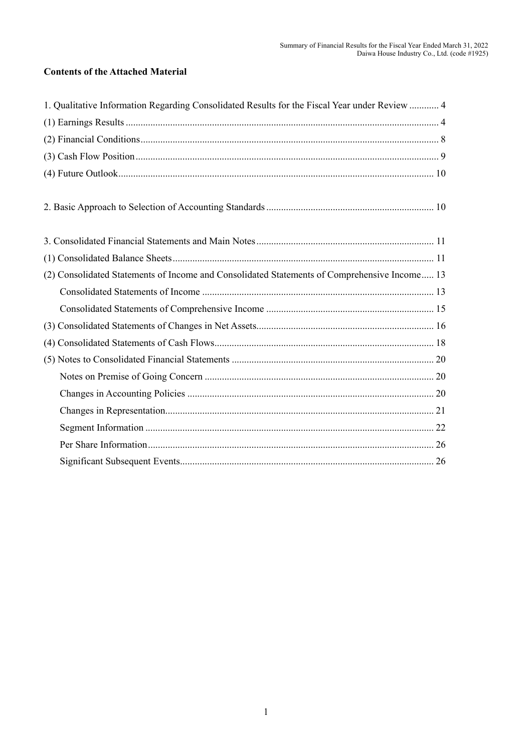# **Contents of the Attached Material**

| 1. Qualitative Information Regarding Consolidated Results for the Fiscal Year under Review  4 |
|-----------------------------------------------------------------------------------------------|
|                                                                                               |
|                                                                                               |
|                                                                                               |
|                                                                                               |
|                                                                                               |
|                                                                                               |
|                                                                                               |
| (2) Consolidated Statements of Income and Consolidated Statements of Comprehensive Income 13  |
|                                                                                               |
|                                                                                               |
|                                                                                               |
|                                                                                               |
|                                                                                               |
|                                                                                               |
|                                                                                               |
|                                                                                               |
|                                                                                               |
|                                                                                               |
|                                                                                               |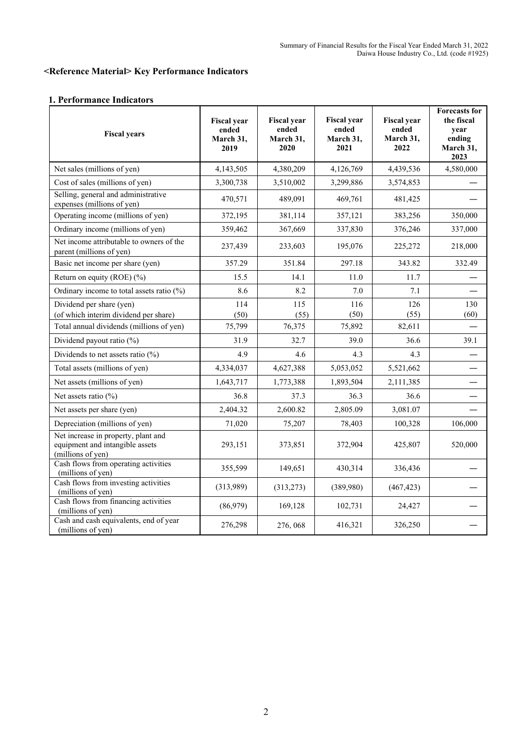# **<Reference Material> Key Performance Indicators**

# **1. Performance Indicators**

| <b>Fiscal years</b>                                                                         | <b>Fiscal year</b><br>ended<br>March 31,<br>2019 | <b>Fiscal year</b><br>ended<br>March 31,<br>2020 | <b>Fiscal year</b><br>ended<br>March 31,<br>2021 | <b>Fiscal year</b><br>ended<br>March 31,<br>2022 | <b>Forecasts for</b><br>the fiscal<br>year<br>ending<br>March 31,<br>2023 |
|---------------------------------------------------------------------------------------------|--------------------------------------------------|--------------------------------------------------|--------------------------------------------------|--------------------------------------------------|---------------------------------------------------------------------------|
| Net sales (millions of yen)                                                                 | 4,143,505                                        | 4,380,209                                        | 4,126,769                                        | 4,439,536                                        | 4,580,000                                                                 |
| Cost of sales (millions of yen)                                                             | 3,300,738                                        | 3,510,002                                        | 3,299,886                                        | 3,574,853                                        |                                                                           |
| Selling, general and administrative<br>expenses (millions of yen)                           | 470,571                                          | 489,091                                          | 469,761                                          | 481,425                                          |                                                                           |
| Operating income (millions of yen)                                                          | 372,195                                          | 381,114                                          | 357,121                                          | 383,256                                          | 350,000                                                                   |
| Ordinary income (millions of yen)                                                           | 359,462                                          | 367,669                                          | 337,830                                          | 376,246                                          | 337,000                                                                   |
| Net income attributable to owners of the<br>parent (millions of yen)                        | 237,439                                          | 233,603                                          | 195,076                                          | 225,272                                          | 218,000                                                                   |
| Basic net income per share (yen)                                                            | 357.29                                           | 351.84                                           | 297.18                                           | 343.82                                           | 332.49                                                                    |
| Return on equity (ROE) (%)                                                                  | 15.5                                             | 14.1                                             | 11.0                                             | 11.7                                             |                                                                           |
| Ordinary income to total assets ratio (%)                                                   | 8.6                                              | 8.2                                              | 7.0                                              | 7.1                                              |                                                                           |
| Dividend per share (yen)<br>(of which interim dividend per share)                           | 114<br>(50)                                      | 115<br>(55)                                      | 116<br>(50)                                      | 126<br>(55)                                      | 130<br>(60)                                                               |
| Total annual dividends (millions of yen)                                                    | 75,799                                           | 76,375                                           | 75,892                                           | 82,611                                           |                                                                           |
| Dividend payout ratio (%)                                                                   | 31.9                                             | 32.7                                             | 39.0                                             | 36.6                                             | 39.1                                                                      |
| Dividends to net assets ratio $(\%)$                                                        | 4.9                                              | 4.6                                              | 4.3                                              | 4.3                                              |                                                                           |
| Total assets (millions of yen)                                                              | 4,334,037                                        | 4,627,388                                        | 5,053,052                                        | 5,521,662                                        |                                                                           |
| Net assets (millions of yen)                                                                | 1,643,717                                        | 1,773,388                                        | 1,893,504                                        | 2,111,385                                        |                                                                           |
| Net assets ratio $(\% )$                                                                    | 36.8                                             | 37.3                                             | 36.3                                             | 36.6                                             |                                                                           |
| Net assets per share (yen)                                                                  | 2,404.32                                         | 2,600.82                                         | 2,805.09                                         | 3,081.07                                         |                                                                           |
| Depreciation (millions of yen)                                                              | 71,020                                           | 75,207                                           | 78,403                                           | 100,328                                          | 106,000                                                                   |
| Net increase in property, plant and<br>equipment and intangible assets<br>(millions of yen) | 293,151                                          | 373,851                                          | 372,904                                          | 425,807                                          | 520,000                                                                   |
| Cash flows from operating activities<br>(millions of yen)                                   | 355,599                                          | 149,651                                          | 430,314                                          | 336,436                                          |                                                                           |
| Cash flows from investing activities<br>(millions of yen)                                   | (313,989)                                        | (313,273)                                        | (389,980)                                        | (467, 423)                                       |                                                                           |
| Cash flows from financing activities<br>(millions of yen)                                   | (86,979)                                         | 169,128                                          | 102,731                                          | 24,427                                           |                                                                           |
| Cash and cash equivalents, end of year<br>(millions of yen)                                 | 276,298                                          | 276, 068                                         | 416,321                                          | 326,250                                          |                                                                           |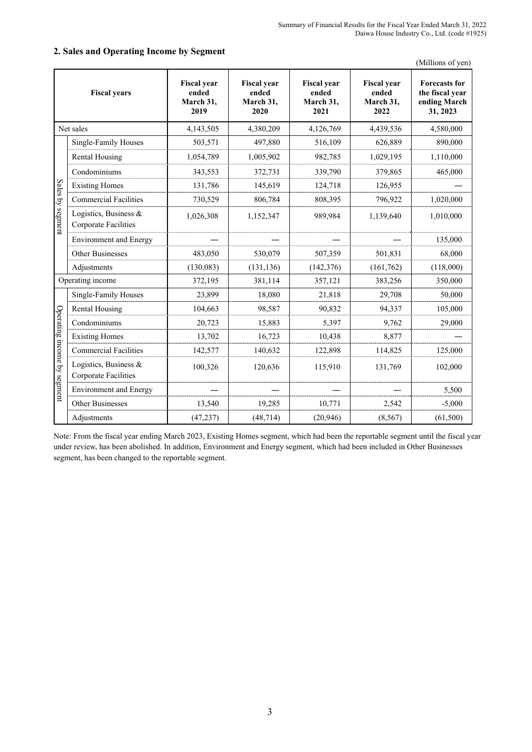|                             | <b>Fiscal years</b>                                  | <b>Fiscal year</b><br>ended<br>March 31.<br>2019 | <b>Fiscal year</b><br>ended<br>March 31.<br>2020 | <b>Fiscal year</b><br>ended<br>March 31.<br>2021 | <b>Fiscal year</b><br>ended<br>March 31.<br>2022 | <b>Forecasts for</b><br>the fiscal vear<br>ending March<br>31, 2023 |
|-----------------------------|------------------------------------------------------|--------------------------------------------------|--------------------------------------------------|--------------------------------------------------|--------------------------------------------------|---------------------------------------------------------------------|
|                             | Net sales                                            | 4,143,505                                        | 4,380,209                                        | 4,126,769                                        | 4,439,536                                        | 4,580,000                                                           |
|                             | Single-Family Houses                                 | 503,571                                          | 497,880                                          | 516,109                                          | 626,889                                          | 890,000                                                             |
|                             | <b>Rental Housing</b>                                | 1,054,789                                        | 1,005,902                                        | 982,785                                          | 1,029,195                                        | 1,110,000                                                           |
|                             | Condominiums                                         | 343,553                                          | 372,731                                          | 339,790                                          | 379,865                                          | 465,000                                                             |
|                             | <b>Existing Homes</b>                                | 131,786                                          | 145,619                                          | 124,718                                          | 126,955                                          |                                                                     |
|                             | <b>Commercial Facilities</b>                         | 730,529                                          | 806,784                                          | 808,395                                          | 796,922                                          | 1,020,000                                                           |
| Sales by segment            | Logistics, Business &<br>Corporate Facilities        | 1,026,308                                        | 1,152,347                                        | 989,984                                          | 1,139,640                                        | 1,010,000                                                           |
|                             | <b>Environment</b> and Energy                        |                                                  |                                                  |                                                  |                                                  | 135,000                                                             |
|                             | <b>Other Businesses</b>                              | 483,050                                          | 530,079                                          | 507,359                                          | 501,831                                          | 68,000                                                              |
|                             | Adjustments                                          | (130,083)                                        | (131, 136)                                       | (142, 376)                                       | (161, 762)                                       | (118,000)                                                           |
|                             | Operating income                                     | 372,195                                          | 381,114                                          | 357,121                                          | 383,256                                          | 350,000                                                             |
|                             | Single-Family Houses                                 | 23,899                                           | 18,080                                           | 21,818                                           | 29,708                                           | 50,000                                                              |
|                             | <b>Rental Housing</b>                                | 104,663                                          | 98,587                                           | 90,832                                           | 94,337                                           | 105,000                                                             |
|                             | Condominiums                                         | 20,723                                           | 15,883                                           | 5,397                                            | 9,762                                            | 29,000                                                              |
|                             | <b>Existing Homes</b>                                | 13,702                                           | 16,723                                           | 10,438                                           | 8,877                                            |                                                                     |
|                             | <b>Commercial Facilities</b>                         | 142,577                                          | 140,632                                          | 122,898                                          | 114,825                                          | 125,000                                                             |
| Operating income by segment | Logistics, Business &<br><b>Corporate Facilities</b> | 100,326                                          | 120,636                                          | 115,910                                          | 131,769                                          | 102,000                                                             |
|                             | <b>Environment</b> and Energy                        |                                                  |                                                  |                                                  |                                                  | 5,500                                                               |
|                             | Other Businesses                                     | 13,540                                           | 19,285                                           | 10,771                                           | 2,542                                            | $-5,000$                                                            |
|                             | Adjustments                                          | (47, 237)                                        | (48, 714)                                        | (20, 946)                                        | (8, 567)                                         | (61, 500)                                                           |

#### **2. Sales and Operating Income by Segment**

(Millions of yen)

Note: From the fiscal year ending March 2023, Existing Homes segment, which had been the reportable segment until the fiscal year under review, has been abolished. In addition, Environment and Energy segment, which had been included in Other Businesses segment, has been changed to the reportable segment.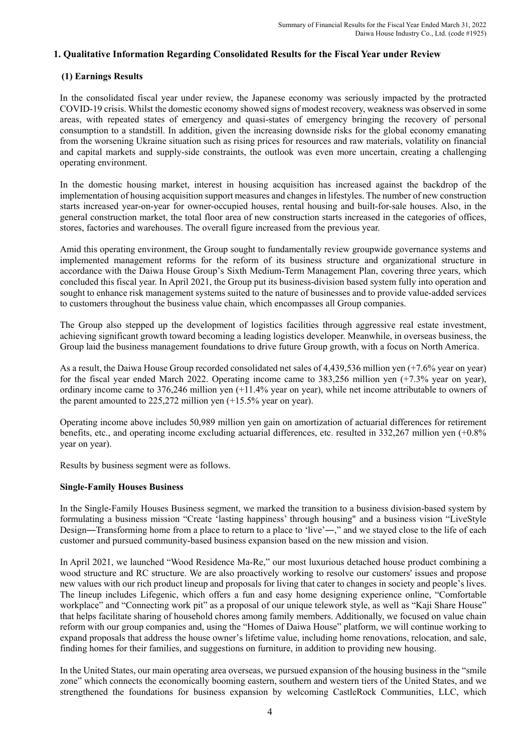# **1. Qualitative Information Regarding Consolidated Results for the Fiscal Year under Review**

# **(1) Earnings Results**

In the consolidated fiscal year under review, the Japanese economy was seriously impacted by the protracted COVID-19 crisis. Whilst the domestic economy showed signs of modest recovery, weakness was observed in some areas, with repeated states of emergency and quasi-states of emergency bringing the recovery of personal consumption to a standstill. In addition, given the increasing downside risks for the global economy emanating from the worsening Ukraine situation such as rising prices for resources and raw materials, volatility on financial and capital markets and supply-side constraints, the outlook was even more uncertain, creating a challenging operating environment.

In the domestic housing market, interest in housing acquisition has increased against the backdrop of the implementation of housing acquisition support measures and changes in lifestyles. The number of new construction starts increased year-on-year for owner-occupied houses, rental housing and built-for-sale houses. Also, in the general construction market, the total floor area of new construction starts increased in the categories of offices, stores, factories and warehouses. The overall figure increased from the previous year.

Amid this operating environment, the Group sought to fundamentally review groupwide governance systems and implemented management reforms for the reform of its business structure and organizational structure in accordance with the Daiwa House Group's Sixth Medium-Term Management Plan, covering three years, which concluded this fiscal year. In April 2021, the Group put its business-division based system fully into operation and sought to enhance risk management systems suited to the nature of businesses and to provide value-added services to customers throughout the business value chain, which encompasses all Group companies.

The Group also stepped up the development of logistics facilities through aggressive real estate investment, achieving significant growth toward becoming a leading logistics developer. Meanwhile, in overseas business, the Group laid the business management foundations to drive future Group growth, with a focus on North America.

As a result, the Daiwa House Group recorded consolidated net sales of 4,439,536 million yen (+7.6% year on year) for the fiscal year ended March 2022. Operating income came to 383,256 million yen (+7.3% year on year), ordinary income came to 376,246 million yen (+11.4% year on year), while net income attributable to owners of the parent amounted to 225,272 million yen (+15.5% year on year).

Operating income above includes 50,989 million yen gain on amortization of actuarial differences for retirement benefits, etc., and operating income excluding actuarial differences, etc. resulted in 332,267 million yen (+0.8% year on year).

Results by business segment were as follows.

# **Single-Family Houses Business**

In the Single-Family Houses Business segment, we marked the transition to a business division-based system by formulating a business mission "Create 'lasting happiness' through housing" and a business vision "LiveStyle Design—Transforming home from a place to return to a place to 'live'—," and we stayed close to the life of each customer and pursued community-based business expansion based on the new mission and vision.

In April 2021, we launched "Wood Residence Ma-Re," our most luxurious detached house product combining a wood structure and RC structure. We are also proactively working to resolve our customers' issues and propose new values with our rich product lineup and proposals for living that cater to changes in society and people's lives. The lineup includes Lifegenic, which offers a fun and easy home designing experience online, "Comfortable workplace" and "Connecting work pit" as a proposal of our unique telework style, as well as "Kaji Share House" that helps facilitate sharing of household chores among family members. Additionally, we focused on value chain reform with our group companies and, using the "Homes of Daiwa House" platform, we will continue working to expand proposals that address the house owner's lifetime value, including home renovations, relocation, and sale, finding homes for their families, and suggestions on furniture, in addition to providing new housing.

In the United States, our main operating area overseas, we pursued expansion of the housing business in the "smile zone" which connects the economically booming eastern, southern and western tiers of the United States, and we strengthened the foundations for business expansion by welcoming CastleRock Communities, LLC, which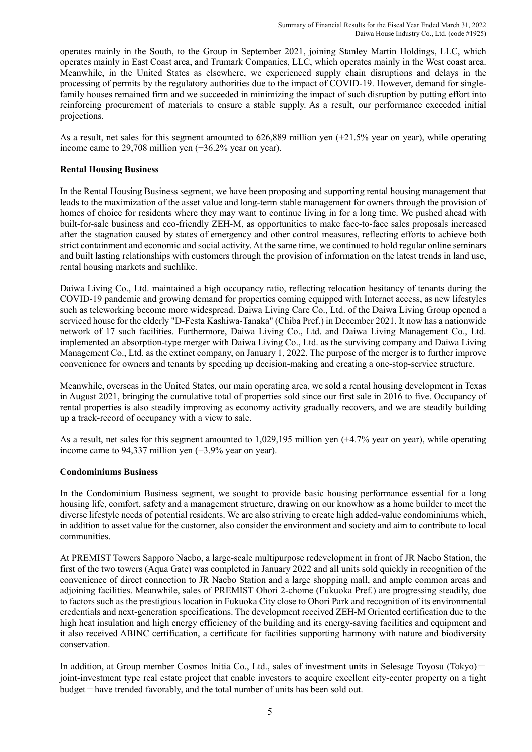operates mainly in the South, to the Group in September 2021, joining Stanley Martin Holdings, LLC, which operates mainly in East Coast area, and Trumark Companies, LLC, which operates mainly in the West coast area. Meanwhile, in the United States as elsewhere, we experienced supply chain disruptions and delays in the processing of permits by the regulatory authorities due to the impact of COVID-19. However, demand for singlefamily houses remained firm and we succeeded in minimizing the impact of such disruption by putting effort into reinforcing procurement of materials to ensure a stable supply. As a result, our performance exceeded initial projections.

As a result, net sales for this segment amounted to 626,889 million yen (+21.5% year on year), while operating income came to 29,708 million yen (+36.2% year on year).

### **Rental Housing Business**

In the Rental Housing Business segment, we have been proposing and supporting rental housing management that leads to the maximization of the asset value and long-term stable management for owners through the provision of homes of choice for residents where they may want to continue living in for a long time. We pushed ahead with built-for-sale business and eco-friendly ZEH-M, as opportunities to make face-to-face sales proposals increased after the stagnation caused by states of emergency and other control measures, reflecting efforts to achieve both strict containment and economic and social activity. At the same time, we continued to hold regular online seminars and built lasting relationships with customers through the provision of information on the latest trends in land use, rental housing markets and suchlike.

Daiwa Living Co., Ltd. maintained a high occupancy ratio, reflecting relocation hesitancy of tenants during the COVID-19 pandemic and growing demand for properties coming equipped with Internet access, as new lifestyles such as teleworking become more widespread. Daiwa Living Care Co., Ltd. of the Daiwa Living Group opened a serviced house for the elderly "D-Festa Kashiwa-Tanaka" (Chiba Pref.) in December 2021. It now has a nationwide network of 17 such facilities. Furthermore, Daiwa Living Co., Ltd. and Daiwa Living Management Co., Ltd. implemented an absorption-type merger with Daiwa Living Co., Ltd. as the surviving company and Daiwa Living Management Co., Ltd. as the extinct company, on January 1, 2022. The purpose of the merger is to further improve convenience for owners and tenants by speeding up decision-making and creating a one-stop-service structure.

Meanwhile, overseas in the United States, our main operating area, we sold a rental housing development in Texas in August 2021, bringing the cumulative total of properties sold since our first sale in 2016 to five. Occupancy of rental properties is also steadily improving as economy activity gradually recovers, and we are steadily building up a track-record of occupancy with a view to sale.

As a result, net sales for this segment amounted to 1,029,195 million yen (+4.7% year on year), while operating income came to 94,337 million yen (+3.9% year on year).

### **Condominiums Business**

In the Condominium Business segment, we sought to provide basic housing performance essential for a long housing life, comfort, safety and a management structure, drawing on our knowhow as a home builder to meet the diverse lifestyle needs of potential residents. We are also striving to create high added-value condominiums which, in addition to asset value for the customer, also consider the environment and society and aim to contribute to local communities.

At PREMIST Towers Sapporo Naebo, a large-scale multipurpose redevelopment in front of JR Naebo Station, the first of the two towers (Aqua Gate) was completed in January 2022 and all units sold quickly in recognition of the convenience of direct connection to JR Naebo Station and a large shopping mall, and ample common areas and adjoining facilities. Meanwhile, sales of PREMIST Ohori 2-chome (Fukuoka Pref.) are progressing steadily, due to factors such as the prestigious location in Fukuoka City close to Ohori Park and recognition of its environmental credentials and next-generation specifications. The development received ZEH-M Oriented certification due to the high heat insulation and high energy efficiency of the building and its energy-saving facilities and equipment and it also received ABINC certification, a certificate for facilities supporting harmony with nature and biodiversity conservation.

In addition, at Group member Cosmos Initia Co., Ltd., sales of investment units in Selesage Toyosu (Tokyo) – joint-investment type real estate project that enable investors to acquire excellent city-center property on a tight budget-have trended favorably, and the total number of units has been sold out.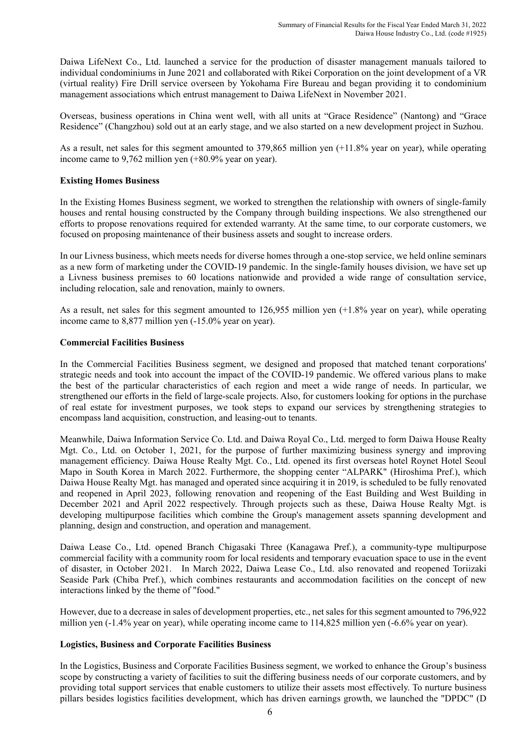Daiwa LifeNext Co., Ltd. launched a service for the production of disaster management manuals tailored to individual condominiums in June 2021 and collaborated with Rikei Corporation on the joint development of a VR (virtual reality) Fire Drill service overseen by Yokohama Fire Bureau and began providing it to condominium management associations which entrust management to Daiwa LifeNext in November 2021.

Overseas, business operations in China went well, with all units at "Grace Residence" (Nantong) and "Grace Residence" (Changzhou) sold out at an early stage, and we also started on a new development project in Suzhou.

As a result, net sales for this segment amounted to 379,865 million yen (+11.8% year on year), while operating income came to 9,762 million yen (+80.9% year on year).

### **Existing Homes Business**

In the Existing Homes Business segment, we worked to strengthen the relationship with owners of single-family houses and rental housing constructed by the Company through building inspections. We also strengthened our efforts to propose renovations required for extended warranty. At the same time, to our corporate customers, we focused on proposing maintenance of their business assets and sought to increase orders.

In our Livness business, which meets needs for diverse homes through a one-stop service, we held online seminars as a new form of marketing under the COVID-19 pandemic. In the single-family houses division, we have set up a Livness business premises to 60 locations nationwide and provided a wide range of consultation service, including relocation, sale and renovation, mainly to owners.

As a result, net sales for this segment amounted to 126,955 million yen (+1.8% year on year), while operating income came to 8,877 million yen (-15.0% year on year).

#### **Commercial Facilities Business**

In the Commercial Facilities Business segment, we designed and proposed that matched tenant corporations' strategic needs and took into account the impact of the COVID-19 pandemic. We offered various plans to make the best of the particular characteristics of each region and meet a wide range of needs. In particular, we strengthened our efforts in the field of large-scale projects. Also, for customers looking for options in the purchase of real estate for investment purposes, we took steps to expand our services by strengthening strategies to encompass land acquisition, construction, and leasing-out to tenants.

Meanwhile, Daiwa Information Service Co. Ltd. and Daiwa Royal Co., Ltd. merged to form Daiwa House Realty Mgt. Co., Ltd. on October 1, 2021, for the purpose of further maximizing business synergy and improving management efficiency. Daiwa House Realty Mgt. Co., Ltd. opened its first overseas hotel Roynet Hotel Seoul Mapo in South Korea in March 2022. Furthermore, the shopping center "ALPARK" (Hiroshima Pref.), which Daiwa House Realty Mgt. has managed and operated since acquiring it in 2019, is scheduled to be fully renovated and reopened in April 2023, following renovation and reopening of the East Building and West Building in December 2021 and April 2022 respectively. Through projects such as these, Daiwa House Realty Mgt. is developing multipurpose facilities which combine the Group's management assets spanning development and planning, design and construction, and operation and management.

Daiwa Lease Co., Ltd. opened Branch Chigasaki Three (Kanagawa Pref.), a community-type multipurpose commercial facility with a community room for local residents and temporary evacuation space to use in the event of disaster, in October 2021. In March 2022, Daiwa Lease Co., Ltd. also renovated and reopened Toriizaki Seaside Park (Chiba Pref.), which combines restaurants and accommodation facilities on the concept of new interactions linked by the theme of "food."

However, due to a decrease in sales of development properties, etc., net sales for this segment amounted to 796,922 million yen (-1.4% year on year), while operating income came to 114,825 million yen (-6.6% year on year).

### **Logistics, Business and Corporate Facilities Business**

In the Logistics, Business and Corporate Facilities Business segment, we worked to enhance the Group's business scope by constructing a variety of facilities to suit the differing business needs of our corporate customers, and by providing total support services that enable customers to utilize their assets most effectively. To nurture business pillars besides logistics facilities development, which has driven earnings growth, we launched the "DPDC" (D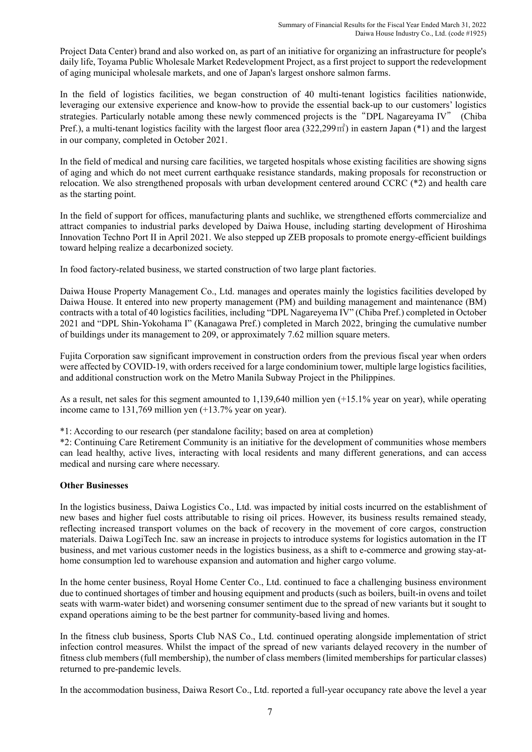Project Data Center) brand and also worked on, as part of an initiative for organizing an infrastructure for people's daily life, Toyama Public Wholesale Market Redevelopment Project, as a first project to support the redevelopment of aging municipal wholesale markets, and one of Japan's largest onshore salmon farms.

In the field of logistics facilities, we began construction of 40 multi-tenant logistics facilities nationwide, leveraging our extensive experience and know-how to provide the essential back-up to our customers' logistics strategies. Particularly notable among these newly commenced projects is the"DPL Nagareyama IV" (Chiba Pref.), a multi-tenant logistics facility with the largest floor area (322,299㎡) in eastern Japan (\*1) and the largest in our company, completed in October 2021.

In the field of medical and nursing care facilities, we targeted hospitals whose existing facilities are showing signs of aging and which do not meet current earthquake resistance standards, making proposals for reconstruction or relocation. We also strengthened proposals with urban development centered around CCRC (\*2) and health care as the starting point.

In the field of support for offices, manufacturing plants and suchlike, we strengthened efforts commercialize and attract companies to industrial parks developed by Daiwa House, including starting development of Hiroshima Innovation Techno Port II in April 2021. We also stepped up ZEB proposals to promote energy-efficient buildings toward helping realize a decarbonized society.

In food factory-related business, we started construction of two large plant factories.

Daiwa House Property Management Co., Ltd. manages and operates mainly the logistics facilities developed by Daiwa House. It entered into new property management (PM) and building management and maintenance (BM) contracts with a total of 40 logistics facilities, including "DPL Nagareyema IV" (Chiba Pref.) completed in October 2021 and "DPL Shin-Yokohama I" (Kanagawa Pref.) completed in March 2022, bringing the cumulative number of buildings under its management to 209, or approximately 7.62 million square meters.

Fujita Corporation saw significant improvement in construction orders from the previous fiscal year when orders were affected by COVID-19, with orders received for a large condominium tower, multiple large logistics facilities, and additional construction work on the Metro Manila Subway Project in the Philippines.

As a result, net sales for this segment amounted to 1,139,640 million yen (+15.1% year on year), while operating income came to 131,769 million yen (+13.7% year on year).

\*1: According to our research (per standalone facility; based on area at completion)

\*2: Continuing Care Retirement Community is an initiative for the development of communities whose members can lead healthy, active lives, interacting with local residents and many different generations, and can access medical and nursing care where necessary.

# **Other Businesses**

In the logistics business, Daiwa Logistics Co., Ltd. was impacted by initial costs incurred on the establishment of new bases and higher fuel costs attributable to rising oil prices. However, its business results remained steady, reflecting increased transport volumes on the back of recovery in the movement of core cargos, construction materials. Daiwa LogiTech Inc. saw an increase in projects to introduce systems for logistics automation in the IT business, and met various customer needs in the logistics business, as a shift to e-commerce and growing stay-athome consumption led to warehouse expansion and automation and higher cargo volume.

In the home center business, Royal Home Center Co., Ltd. continued to face a challenging business environment due to continued shortages of timber and housing equipment and products (such as boilers, built-in ovens and toilet seats with warm-water bidet) and worsening consumer sentiment due to the spread of new variants but it sought to expand operations aiming to be the best partner for community-based living and homes.

In the fitness club business, Sports Club NAS Co., Ltd. continued operating alongside implementation of strict infection control measures. Whilst the impact of the spread of new variants delayed recovery in the number of fitness club members (full membership), the number of class members (limited memberships for particular classes) returned to pre-pandemic levels.

In the accommodation business, Daiwa Resort Co., Ltd. reported a full-year occupancy rate above the level a year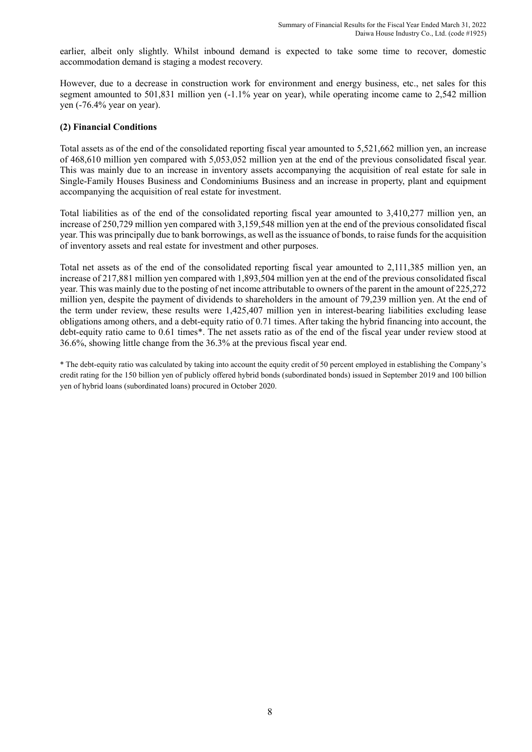earlier, albeit only slightly. Whilst inbound demand is expected to take some time to recover, domestic accommodation demand is staging a modest recovery.

However, due to a decrease in construction work for environment and energy business, etc., net sales for this segment amounted to 501,831 million yen  $(-1.1\%$  year on year), while operating income came to 2,542 million yen (-76.4% year on year).

### **(2) Financial Conditions**

Total assets as of the end of the consolidated reporting fiscal year amounted to 5,521,662 million yen, an increase of 468,610 million yen compared with 5,053,052 million yen at the end of the previous consolidated fiscal year. This was mainly due to an increase in inventory assets accompanying the acquisition of real estate for sale in Single-Family Houses Business and Condominiums Business and an increase in property, plant and equipment accompanying the acquisition of real estate for investment.

Total liabilities as of the end of the consolidated reporting fiscal year amounted to 3,410,277 million yen, an increase of 250,729 million yen compared with 3,159,548 million yen at the end of the previous consolidated fiscal year. This was principally due to bank borrowings, as well as the issuance of bonds, to raise funds for the acquisition of inventory assets and real estate for investment and other purposes.

Total net assets as of the end of the consolidated reporting fiscal year amounted to 2,111,385 million yen, an increase of 217,881 million yen compared with 1,893,504 million yen at the end of the previous consolidated fiscal year. This was mainly due to the posting of net income attributable to owners of the parent in the amount of 225,272 million yen, despite the payment of dividends to shareholders in the amount of 79,239 million yen. At the end of the term under review, these results were 1,425,407 million yen in interest-bearing liabilities excluding lease obligations among others, and a debt-equity ratio of 0.71 times. After taking the hybrid financing into account, the debt-equity ratio came to 0.61 times\*. The net assets ratio as of the end of the fiscal year under review stood at 36.6%, showing little change from the 36.3% at the previous fiscal year end.

\* The debt-equity ratio was calculated by taking into account the equity credit of 50 percent employed in establishing the Company's credit rating for the 150 billion yen of publicly offered hybrid bonds (subordinated bonds) issued in September 2019 and 100 billion yen of hybrid loans (subordinated loans) procured in October 2020.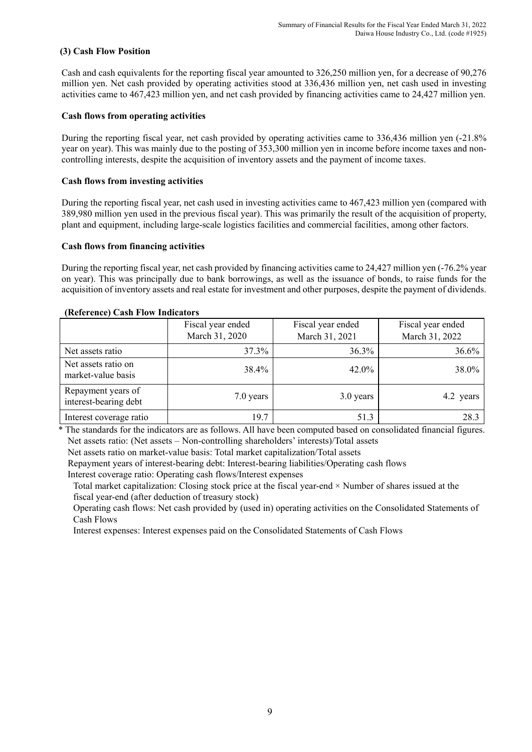# **(3) Cash Flow Position**

Cash and cash equivalents for the reporting fiscal year amounted to 326,250 million yen, for a decrease of 90,276 million yen. Net cash provided by operating activities stood at 336,436 million yen, net cash used in investing activities came to 467,423 million yen, and net cash provided by financing activities came to 24,427 million yen.

## **Cash flows from operating activities**

During the reporting fiscal year, net cash provided by operating activities came to 336,436 million yen (-21.8% year on year). This was mainly due to the posting of 353,300 million yen in income before income taxes and noncontrolling interests, despite the acquisition of inventory assets and the payment of income taxes.

# **Cash flows from investing activities**

During the reporting fiscal year, net cash used in investing activities came to 467,423 million yen (compared with 389,980 million yen used in the previous fiscal year). This was primarily the result of the acquisition of property, plant and equipment, including large-scale logistics facilities and commercial facilities, among other factors.

# **Cash flows from financing activities**

During the reporting fiscal year, net cash provided by financing activities came to 24,427 million yen (-76.2% year on year). This was principally due to bank borrowings, as well as the issuance of bonds, to raise funds for the acquisition of inventory assets and real estate for investment and other purposes, despite the payment of dividends.

|                                             | Fiscal year ended<br>March 31, 2020 | Fiscal year ended<br>March 31, 2021 | Fiscal year ended<br>March 31, 2022 |
|---------------------------------------------|-------------------------------------|-------------------------------------|-------------------------------------|
| Net assets ratio                            | 37.3%                               | 36.3%                               | 36.6%                               |
| Net assets ratio on<br>market-value basis   | 38.4%                               | 42.0%                               | 38.0%                               |
| Repayment years of<br>interest-bearing debt | 7.0 years                           | 3.0 years                           | 4.2 years                           |
| Interest coverage ratio                     | 19.7                                | 51.3                                | 28.3                                |

#### **(Reference) Cash Flow Indicators**

\* The standards for the indicators are as follows. All have been computed based on consolidated financial figures. Net assets ratio: (Net assets – Non-controlling shareholders' interests)/Total assets

Net assets ratio on market-value basis: Total market capitalization/Total assets

Repayment years of interest-bearing debt: Interest-bearing liabilities/Operating cash flows Interest coverage ratio: Operating cash flows/Interest expenses

Total market capitalization: Closing stock price at the fiscal year-end × Number of shares issued at the fiscal year-end (after deduction of treasury stock)

Operating cash flows: Net cash provided by (used in) operating activities on the Consolidated Statements of Cash Flows

Interest expenses: Interest expenses paid on the Consolidated Statements of Cash Flows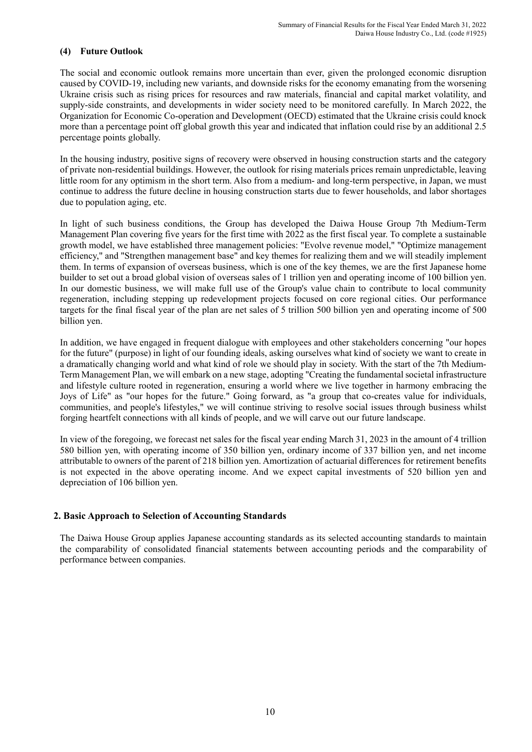# **(4) Future Outlook**

The social and economic outlook remains more uncertain than ever, given the prolonged economic disruption caused by COVID-19, including new variants, and downside risks for the economy emanating from the worsening Ukraine crisis such as rising prices for resources and raw materials, financial and capital market volatility, and supply-side constraints, and developments in wider society need to be monitored carefully. In March 2022, the Organization for Economic Co-operation and Development (OECD) estimated that the Ukraine crisis could knock more than a percentage point off global growth this year and indicated that inflation could rise by an additional 2.5 percentage points globally.

In the housing industry, positive signs of recovery were observed in housing construction starts and the category of private non-residential buildings. However, the outlook for rising materials prices remain unpredictable, leaving little room for any optimism in the short term. Also from a medium- and long-term perspective, in Japan, we must continue to address the future decline in housing construction starts due to fewer households, and labor shortages due to population aging, etc.

In light of such business conditions, the Group has developed the Daiwa House Group 7th Medium-Term Management Plan covering five years for the first time with 2022 as the first fiscal year. To complete a sustainable growth model, we have established three management policies: "Evolve revenue model," "Optimize management efficiency," and "Strengthen management base" and key themes for realizing them and we will steadily implement them. In terms of expansion of overseas business, which is one of the key themes, we are the first Japanese home builder to set out a broad global vision of overseas sales of 1 trillion yen and operating income of 100 billion yen. In our domestic business, we will make full use of the Group's value chain to contribute to local community regeneration, including stepping up redevelopment projects focused on core regional cities. Our performance targets for the final fiscal year of the plan are net sales of 5 trillion 500 billion yen and operating income of 500 billion yen.

In addition, we have engaged in frequent dialogue with employees and other stakeholders concerning "our hopes for the future" (purpose) in light of our founding ideals, asking ourselves what kind of society we want to create in a dramatically changing world and what kind of role we should play in society. With the start of the 7th Medium-Term Management Plan, we will embark on a new stage, adopting "Creating the fundamental societal infrastructure and lifestyle culture rooted in regeneration, ensuring a world where we live together in harmony embracing the Joys of Life" as "our hopes for the future." Going forward, as "a group that co-creates value for individuals, communities, and people's lifestyles," we will continue striving to resolve social issues through business whilst forging heartfelt connections with all kinds of people, and we will carve out our future landscape.

In view of the foregoing, we forecast net sales for the fiscal year ending March 31, 2023 in the amount of 4 trillion 580 billion yen, with operating income of 350 billion yen, ordinary income of 337 billion yen, and net income attributable to owners of the parent of 218 billion yen. Amortization of actuarial differences for retirement benefits is not expected in the above operating income. And we expect capital investments of 520 billion yen and depreciation of 106 billion yen.

# **2. Basic Approach to Selection of Accounting Standards**

The Daiwa House Group applies Japanese accounting standards as its selected accounting standards to maintain the comparability of consolidated financial statements between accounting periods and the comparability of performance between companies.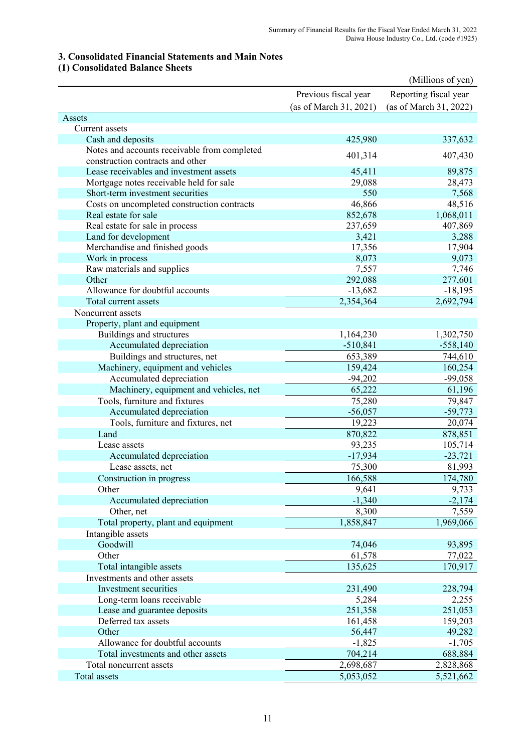# **3. Consolidated Financial Statements and Main Notes**

# **(1) Consolidated Balance Sheets**

|                                              |                        | (Millions of yen)      |
|----------------------------------------------|------------------------|------------------------|
|                                              | Previous fiscal year   | Reporting fiscal year  |
|                                              | (as of March 31, 2021) | (as of March 31, 2022) |
| Assets                                       |                        |                        |
| Current assets                               |                        |                        |
| Cash and deposits                            | 425,980                | 337,632                |
| Notes and accounts receivable from completed |                        |                        |
| construction contracts and other             | 401,314                | 407,430                |
| Lease receivables and investment assets      | 45,411                 | 89,875                 |
| Mortgage notes receivable held for sale      | 29,088                 | 28,473                 |
| Short-term investment securities             | 550                    | 7,568                  |
| Costs on uncompleted construction contracts  | 46,866                 | 48,516                 |
| Real estate for sale                         | 852,678                | 1,068,011              |
| Real estate for sale in process              | 237,659                | 407,869                |
| Land for development                         | 3,421                  | 3,288                  |
| Merchandise and finished goods               | 17,356                 | 17,904                 |
| Work in process                              | 8,073                  | 9,073                  |
| Raw materials and supplies                   | 7,557                  | 7,746                  |
| Other                                        | 292,088                | 277,601                |
| Allowance for doubtful accounts              | $-13,682$              | $-18,195$              |
| Total current assets                         | 2,354,364              | 2,692,794              |
| Noncurrent assets                            |                        |                        |
| Property, plant and equipment                |                        |                        |
| Buildings and structures                     | 1,164,230              | 1,302,750              |
| Accumulated depreciation                     | $-510,841$             | $-558,140$             |
| Buildings and structures, net                | 653,389                | 744,610                |
| Machinery, equipment and vehicles            | 159,424                | 160,254                |
| Accumulated depreciation                     | $-94,202$              | $-99,058$              |
| Machinery, equipment and vehicles, net       | 65,222                 | 61,196                 |
| Tools, furniture and fixtures                | 75,280                 | 79,847                 |
| Accumulated depreciation                     | $-56,057$              | $-59,773$              |
| Tools, furniture and fixtures, net           | 19,223                 | 20,074                 |
| Land                                         | 870,822                | 878,851                |
| Lease assets                                 | 93,235                 | 105,714                |
| Accumulated depreciation                     | $-17,934$              | $-23,721$              |
| Lease assets, net                            | 75,300                 | 81,993                 |
| Construction in progress                     | 166,588                | 174,780                |
| Other                                        | 9,641                  | 9,733                  |
| Accumulated depreciation                     | $-1,340$               | $-2,174$               |
| Other, net                                   | 8,300                  | 7,559                  |
| Total property, plant and equipment          | 1,858,847              | 1,969,066              |
| Intangible assets                            |                        |                        |
| Goodwill                                     | 74,046                 | 93,895                 |
| Other                                        | 61,578                 | 77,022                 |
| Total intangible assets                      | 135,625                | 170,917                |
| Investments and other assets                 |                        |                        |
| Investment securities                        | 231,490                | 228,794                |
| Long-term loans receivable                   | 5,284                  | 2,255                  |
| Lease and guarantee deposits                 | 251,358                | 251,053                |
| Deferred tax assets                          | 161,458                | 159,203                |
| Other                                        | 56,447                 | 49,282                 |
| Allowance for doubtful accounts              | $-1,825$               | $-1,705$               |
| Total investments and other assets           | 704,214                | 688,884                |
| Total noncurrent assets                      | 2,698,687              | 2,828,868              |
| Total assets                                 | 5,053,052              | 5,521,662              |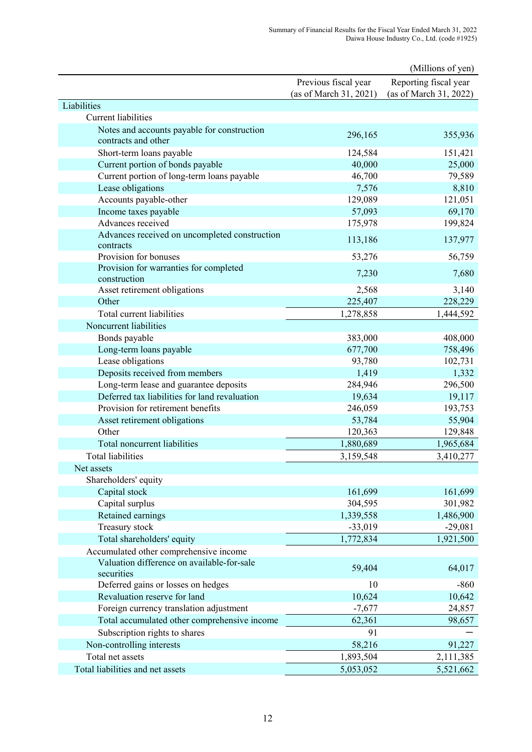|                                               |                        | (Millions of yen)      |
|-----------------------------------------------|------------------------|------------------------|
|                                               | Previous fiscal year   | Reporting fiscal year  |
|                                               | (as of March 31, 2021) | (as of March 31, 2022) |
| Liabilities                                   |                        |                        |
| <b>Current liabilities</b>                    |                        |                        |
| Notes and accounts payable for construction   | 296,165                | 355,936                |
| contracts and other                           |                        |                        |
| Short-term loans payable                      | 124,584                | 151,421                |
| Current portion of bonds payable              | 40,000                 | 25,000                 |
| Current portion of long-term loans payable    | 46,700                 | 79,589                 |
| Lease obligations                             | 7,576                  | 8,810                  |
| Accounts payable-other                        | 129,089                | 121,051                |
| Income taxes payable                          | 57,093                 | 69,170                 |
| Advances received                             | 175,978                | 199,824                |
| Advances received on uncompleted construction | 113,186                | 137,977                |
| contracts                                     |                        |                        |
| Provision for bonuses                         | 53,276                 | 56,759                 |
| Provision for warranties for completed        | 7,230                  | 7,680                  |
| construction                                  |                        |                        |
| Asset retirement obligations                  | 2,568                  | 3,140                  |
| Other                                         | 225,407                | 228,229                |
| Total current liabilities                     | 1,278,858              | 1,444,592              |
| Noncurrent liabilities                        |                        |                        |
| Bonds payable                                 | 383,000                | 408,000                |
| Long-term loans payable                       | 677,700                | 758,496                |
| Lease obligations                             | 93,780                 | 102,731                |
| Deposits received from members                | 1,419                  | 1,332                  |
| Long-term lease and guarantee deposits        | 284,946                | 296,500                |
| Deferred tax liabilities for land revaluation | 19,634                 | 19,117                 |
| Provision for retirement benefits             | 246,059                | 193,753                |
| Asset retirement obligations                  | 53,784                 | 55,904                 |
| Other                                         | 120,363                | 129,848                |
| Total noncurrent liabilities                  | 1,880,689              | 1,965,684              |
| <b>Total liabilities</b>                      | 3,159,548              | 3,410,277              |
| Net assets                                    |                        |                        |
| Shareholders' equity                          |                        |                        |
| Capital stock                                 | 161,699                | 161,699                |
| Capital surplus                               | 304,595                | 301,982                |
| Retained earnings                             | 1,339,558              | 1,486,900              |
| Treasury stock                                | $-33,019$              | $-29,081$              |
| Total shareholders' equity                    | 1,772,834              | 1,921,500              |
| Accumulated other comprehensive income        |                        |                        |
| Valuation difference on available-for-sale    | 59,404                 | 64,017                 |
| securities                                    |                        |                        |
| Deferred gains or losses on hedges            | 10                     | $-860$                 |
| Revaluation reserve for land                  | 10,624                 | 10,642                 |
| Foreign currency translation adjustment       | $-7,677$               | 24,857                 |
| Total accumulated other comprehensive income  | 62,361                 | 98,657                 |
| Subscription rights to shares                 | 91                     |                        |
| Non-controlling interests                     | 58,216                 | 91,227                 |
| Total net assets                              | 1,893,504              | 2,111,385              |
| Total liabilities and net assets              | 5,053,052              | 5,521,662              |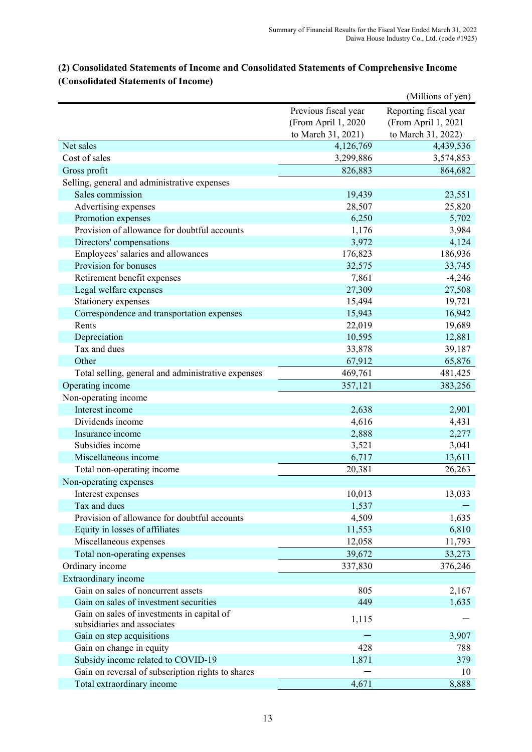|                                                    |                      | (Millions of yen)     |
|----------------------------------------------------|----------------------|-----------------------|
|                                                    | Previous fiscal year | Reporting fiscal year |
|                                                    | (From April 1, 2020  | (From April 1, 2021   |
|                                                    | to March 31, 2021)   | to March 31, 2022)    |
| Net sales                                          | 4,126,769            | 4,439,536             |
| Cost of sales                                      | 3,299,886            | 3,574,853             |
| Gross profit                                       | 826,883              | 864,682               |
| Selling, general and administrative expenses       |                      |                       |
| Sales commission                                   | 19,439               | 23,551                |
| Advertising expenses                               | 28,507               | 25,820                |
| Promotion expenses                                 | 6,250                | 5,702                 |
| Provision of allowance for doubtful accounts       | 1,176                | 3,984                 |
| Directors' compensations                           | 3,972                | 4,124                 |
| Employees' salaries and allowances                 | 176,823              | 186,936               |
| Provision for bonuses                              | 32,575               | 33,745                |
| Retirement benefit expenses                        | 7,861                | $-4,246$              |
| Legal welfare expenses                             | 27,309               | 27,508                |
| Stationery expenses                                | 15,494               | 19,721                |
| Correspondence and transportation expenses         | 15,943               | 16,942                |
| Rents                                              | 22,019               | 19,689                |
| Depreciation                                       | 10,595               | 12,881                |
| Tax and dues                                       | 33,878               | 39,187                |
| Other                                              | 67,912               | 65,876                |
| Total selling, general and administrative expenses | 469,761              | 481,425               |
| Operating income                                   | 357,121              | 383,256               |
| Non-operating income                               |                      |                       |
| Interest income                                    | 2,638                | 2,901                 |
| Dividends income                                   | 4,616                | 4,431                 |
| Insurance income                                   | 2,888                | 2,277                 |
| Subsidies income                                   | 3,521                | 3,041                 |
| Miscellaneous income                               | 6,717                | 13,611                |
| Total non-operating income                         | 20,381               | 26,263                |
| Non-operating expenses                             |                      |                       |
| Interest expenses                                  | 10,013               | 13,033                |
| Tax and dues                                       | 1,537                |                       |
| Provision of allowance for doubtful accounts       | 4,509                | 1,635                 |
| Equity in losses of affiliates                     | 11,553               | 6,810                 |
| Miscellaneous expenses                             | 12,058               | 11,793                |
| Total non-operating expenses                       | 39,672               | 33,273                |
| Ordinary income                                    | 337,830              | 376,246               |
| Extraordinary income                               |                      |                       |
| Gain on sales of noncurrent assets                 | 805                  | 2,167                 |
| Gain on sales of investment securities             | 449                  | 1,635                 |
| Gain on sales of investments in capital of         | 1,115                |                       |
| subsidiaries and associates                        |                      |                       |
| Gain on step acquisitions                          |                      | 3,907                 |
| Gain on change in equity                           | 428                  | 788                   |
| Subsidy income related to COVID-19                 | 1,871                | 379                   |
| Gain on reversal of subscription rights to shares  |                      | 10                    |
| Total extraordinary income                         | 4,671                | 8,888                 |

# **(2) Consolidated Statements of Income and Consolidated Statements of Comprehensive Income (Consolidated Statements of Income)**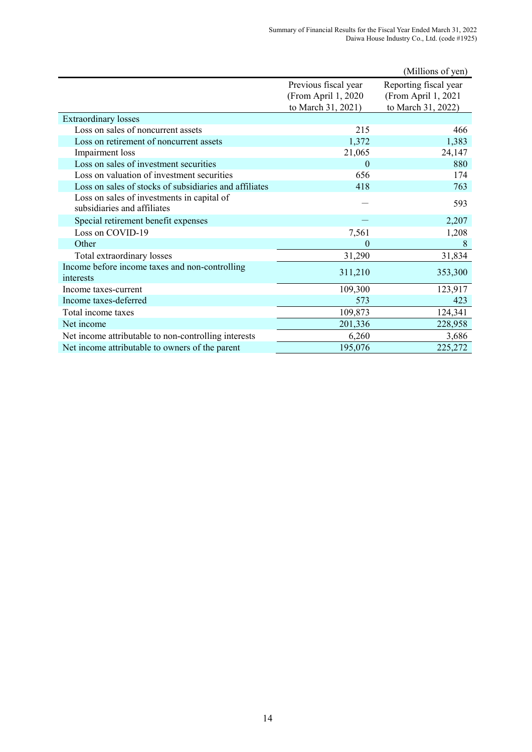|                                                             |                      | (Millions of yen)     |
|-------------------------------------------------------------|----------------------|-----------------------|
|                                                             | Previous fiscal year | Reporting fiscal year |
|                                                             | (From April 1, 2020  | (From April 1, 2021   |
|                                                             | to March 31, 2021)   | to March 31, 2022)    |
| <b>Extraordinary losses</b>                                 |                      |                       |
| Loss on sales of noncurrent assets                          | 215                  | 466                   |
| Loss on retirement of noncurrent assets                     | 1,372                | 1,383                 |
| Impairment loss                                             | 21,065               | 24,147                |
| Loss on sales of investment securities                      | $\overline{0}$       | 880                   |
| Loss on valuation of investment securities                  | 656                  | 174                   |
| Loss on sales of stocks of subsidiaries and affiliates      | 418                  | 763                   |
| Loss on sales of investments in capital of                  |                      | 593                   |
| subsidiaries and affiliates                                 |                      |                       |
| Special retirement benefit expenses                         |                      | 2,207                 |
| Loss on COVID-19                                            | 7,561                | 1,208                 |
| Other                                                       | $\theta$             | 8                     |
| Total extraordinary losses                                  | 31,290               | 31,834                |
| Income before income taxes and non-controlling<br>interests | 311,210              | 353,300               |
| Income taxes-current                                        | 109,300              | 123,917               |
| Income taxes-deferred                                       | 573                  | 423                   |
| Total income taxes                                          | 109,873              | 124,341               |
| Net income                                                  | 201,336              | 228,958               |
| Net income attributable to non-controlling interests        | 6,260                | 3,686                 |
| Net income attributable to owners of the parent             | 195,076              | 225,272               |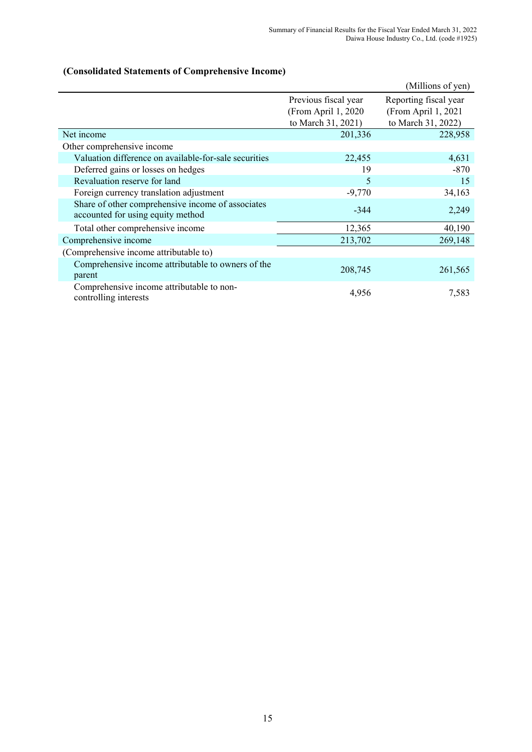# **(Consolidated Statements of Comprehensive Income)**

|                                                                                        |                                             | (Millions of yen)                             |
|----------------------------------------------------------------------------------------|---------------------------------------------|-----------------------------------------------|
|                                                                                        | Previous fiscal year<br>(From April 1, 2020 | Reporting fiscal year<br>(From April 1, 2021) |
|                                                                                        | to March 31, 2021)                          | to March 31, 2022)                            |
| Net income                                                                             | 201,336                                     | 228,958                                       |
| Other comprehensive income                                                             |                                             |                                               |
| Valuation difference on available-for-sale securities                                  | 22,455                                      | 4,631                                         |
| Deferred gains or losses on hedges                                                     | 19                                          | -870                                          |
| Revaluation reserve for land                                                           | 5                                           | 15                                            |
| Foreign currency translation adjustment                                                | $-9,770$                                    | 34,163                                        |
| Share of other comprehensive income of associates<br>accounted for using equity method | $-344$                                      | 2,249                                         |
| Total other comprehensive income                                                       | 12,365                                      | 40,190                                        |
| Comprehensive income                                                                   | 213,702                                     | 269,148                                       |
| (Comprehensive income attributable to)                                                 |                                             |                                               |
| Comprehensive income attributable to owners of the<br>parent                           | 208,745                                     | 261,565                                       |
| Comprehensive income attributable to non-<br>controlling interests                     | 4,956                                       | 7,583                                         |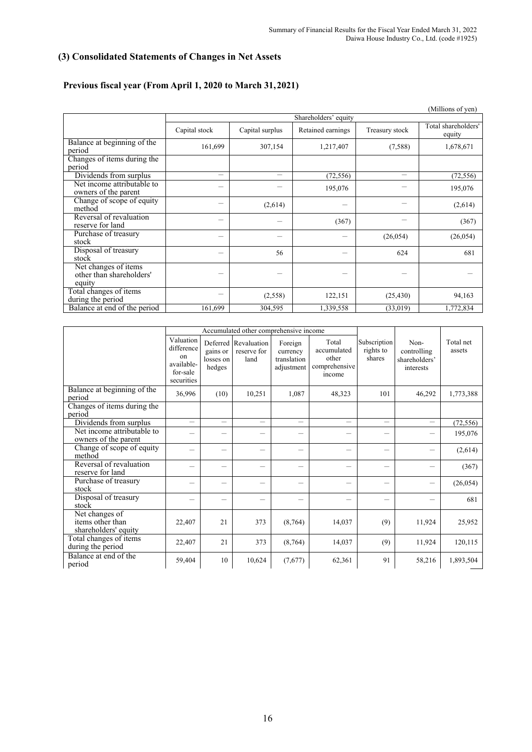# **(3) Consolidated Statements of Changes in Net Assets**

# **Previous fiscal year (From April 1, 2020 to March 31, 2021)**

|                                                            |                          |                 |                      |                | (Millions of yen)             |
|------------------------------------------------------------|--------------------------|-----------------|----------------------|----------------|-------------------------------|
|                                                            |                          |                 | Shareholders' equity |                |                               |
|                                                            | Capital stock            | Capital surplus | Retained earnings    | Treasury stock | Total shareholders'<br>equity |
| Balance at beginning of the<br>period                      | 161,699                  | 307,154         | 1,217,407            | (7,588)        | 1,678,671                     |
| Changes of items during the<br>period                      |                          |                 |                      |                |                               |
| Dividends from surplus                                     | $\overline{\phantom{0}}$ |                 | (72, 556)            | —              | (72, 556)                     |
| Net income attributable to<br>owners of the parent         |                          |                 | 195,076              |                | 195,076                       |
| Change of scope of equity<br>method                        |                          | (2,614)         |                      |                | (2,614)                       |
| Reversal of revaluation<br>reserve for land                | $\overline{\phantom{a}}$ |                 | (367)                |                | (367)                         |
| Purchase of treasury<br>stock                              |                          |                 |                      | (26, 054)      | (26, 054)                     |
| Disposal of treasury<br>stock                              | $\overline{\phantom{a}}$ | 56              |                      | 624            | 681                           |
| Net changes of items<br>other than shareholders'<br>equity | -                        |                 |                      |                |                               |
| Total changes of items<br>during the period                |                          | (2,558)         | 122,151              | (25, 430)      | 94,163                        |
| Balance at end of the period                               | 161,699                  | 304,595         | 1,339,558            | (33,019)       | 1,772,834                     |

|                                                            | Accumulated other comprehensive income                                |                                 |                                             |                                                  |                                                          |                                     |                                                   |                     |
|------------------------------------------------------------|-----------------------------------------------------------------------|---------------------------------|---------------------------------------------|--------------------------------------------------|----------------------------------------------------------|-------------------------------------|---------------------------------------------------|---------------------|
|                                                            | Valuation<br>difference<br>on<br>available-<br>for-sale<br>securities | gains or<br>losses on<br>hedges | Deferred Revaluation<br>reserve for<br>land | Foreign<br>currency<br>translation<br>adjustment | Total<br>accumulated<br>other<br>comprehensive<br>income | Subscription<br>rights to<br>shares | Non-<br>controlling<br>shareholders'<br>interests | Total net<br>assets |
| Balance at beginning of the<br>period                      | 36,996                                                                | (10)                            | 10,251                                      | 1,087                                            | 48,323                                                   | 101                                 | 46,292                                            | 1,773,388           |
| Changes of items during the<br>period                      |                                                                       |                                 |                                             |                                                  |                                                          |                                     |                                                   |                     |
| Dividends from surplus                                     |                                                                       |                                 |                                             |                                                  |                                                          |                                     |                                                   | (72, 556)           |
| Net income attributable to<br>owners of the parent         |                                                                       | $\overline{\phantom{0}}$        |                                             | —                                                |                                                          |                                     |                                                   | 195,076             |
| Change of scope of equity<br>method                        |                                                                       |                                 |                                             |                                                  |                                                          |                                     |                                                   | (2,614)             |
| Reversal of revaluation<br>reserve for land                | e.                                                                    | $\overline{\phantom{0}}$        |                                             | —                                                |                                                          | —                                   |                                                   | (367)               |
| Purchase of treasury<br>stock                              |                                                                       |                                 |                                             |                                                  |                                                          |                                     |                                                   | (26, 054)           |
| Disposal of treasury<br>stock                              |                                                                       | —                               |                                             |                                                  |                                                          |                                     |                                                   | 681                 |
| Net changes of<br>items other than<br>shareholders' equity | 22,407                                                                | 21                              | 373                                         | (8,764)                                          | 14,037                                                   | (9)                                 | 11,924                                            | 25,952              |
| Total changes of items<br>during the period                | 22,407                                                                | 21                              | 373                                         | (8,764)                                          | 14,037                                                   | (9)                                 | 11,924                                            | 120,115             |
| Balance at end of the<br>period                            | 59,404                                                                | 10                              | 10,624                                      | (7,677)                                          | 62,361                                                   | 91                                  | 58,216                                            | 1,893,504           |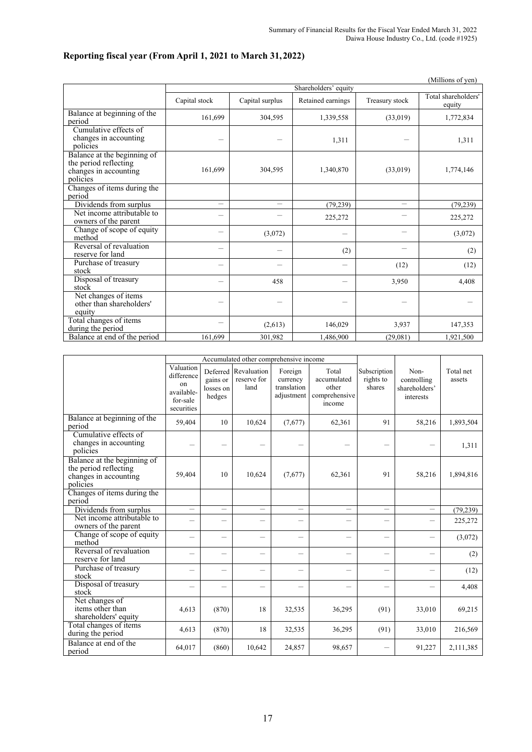#### (Millions of yen) Shareholders' equity Capital stock Capital surplus Retained earnings Treasury stock Total shareholders equity Balance at beginning of the period 1,772,834 and 1,772,834 and 1,772,834 and 1,772,834 and 1,772,834 and 1,772,834 Cumulative effects of changes in accounting changes in accounting  $1,311$   $1,311$ Balance at the beginning of the period reflecting changes in accounting policies 161,699 304,595 1,340,870 (33,019) 1,774,146 Changes of items during the period Dividends from surplus - - (79,239) - (79,239) Net income attributable to Net income attributable to  $225,272$   $225,272$   $225,272$ Change of scope of equity  $(3,072)$   $(3,072)$   $(3,072)$ Reversal of revaluation<br>reserve for land reserve for land  $(2)$   $(2)$   $(2)$   $(2)$   $(2)$ Purchase of treasury<br>stock Purchase of treasury  $(12)$   $(12)$   $(12)$ Disposal of treasury stock - <sup>458</sup> - 3,950 4,408 Net changes of items other than shareholders' equity - - - - - Total changes of items  $\frac{1}{\text{data}}$  the period  $\frac{1}{47,353}$   $\frac{1}{47,353}$ Balance at end of the period 161,699 301,982 1,486,900 (29,081) 1,921,500

|  |  | Reporting fiscal year (From April 1, 2021 to March 31, 2022) |
|--|--|--------------------------------------------------------------|
|  |  |                                                              |

|                                                                                           |                                                                       |                                             | Accumulated other comprehensive income |                                                  |                                                          |                                     |                                                   |                     |
|-------------------------------------------------------------------------------------------|-----------------------------------------------------------------------|---------------------------------------------|----------------------------------------|--------------------------------------------------|----------------------------------------------------------|-------------------------------------|---------------------------------------------------|---------------------|
|                                                                                           | Valuation<br>difference<br>on<br>available-<br>for-sale<br>securities | Deferred<br>gains or<br>losses on<br>hedges | Revaluation<br>reserve for<br>land     | Foreign<br>currency<br>translation<br>adjustment | Total<br>accumulated<br>other<br>comprehensive<br>income | Subscription<br>rights to<br>shares | Non-<br>controlling<br>shareholders'<br>interests | Total net<br>assets |
| Balance at beginning of the<br>period                                                     | 59,404                                                                | 10                                          | 10,624                                 | (7,677)                                          | 62,361                                                   | 91                                  | 58,216                                            | 1,893,504           |
| Cumulative effects of<br>changes in accounting<br>policies                                |                                                                       | $\overline{\phantom{0}}$                    |                                        |                                                  |                                                          |                                     |                                                   | 1,311               |
| Balance at the beginning of<br>the period reflecting<br>changes in accounting<br>policies | 59,404                                                                | 10                                          | 10,624                                 | (7,677)                                          | 62,361                                                   | 91                                  | 58,216                                            | 1,894,816           |
| Changes of items during the<br>period                                                     |                                                                       |                                             |                                        |                                                  |                                                          |                                     |                                                   |                     |
| Dividends from surplus                                                                    | $\overline{\phantom{0}}$                                              | $\overline{\phantom{0}}$                    |                                        | $\overline{\phantom{0}}$                         |                                                          |                                     |                                                   | (79, 239)           |
| Net income attributable to<br>owners of the parent                                        | $\overline{\phantom{0}}$                                              | $\overline{\phantom{0}}$                    | $\overline{\phantom{0}}$               | $\overline{\phantom{0}}$                         |                                                          |                                     | $\overline{\phantom{0}}$                          | 225,272             |
| Change of scope of equity<br>method                                                       | $\equiv$                                                              | $\overline{\phantom{0}}$                    | $\overline{\phantom{0}}$               | $\overline{\phantom{0}}$                         |                                                          |                                     |                                                   | (3,072)             |
| Reversal of revaluation<br>reserve for land                                               |                                                                       |                                             |                                        |                                                  |                                                          |                                     |                                                   | (2)                 |
| Purchase of treasury<br>stock                                                             | -                                                                     | $\overline{\phantom{0}}$                    | $\overline{\phantom{0}}$               | -                                                |                                                          | $\overline{\phantom{0}}$            | $\overline{\phantom{0}}$                          | (12)                |
| Disposal of treasury<br>stock                                                             |                                                                       |                                             | $\overline{\phantom{0}}$               |                                                  |                                                          |                                     |                                                   | 4,408               |
| Net changes of<br>items other than<br>shareholders' equity                                | 4.613                                                                 | (870)                                       | 18                                     | 32,535                                           | 36,295                                                   | (91)                                | 33,010                                            | 69,215              |
| Total changes of items<br>during the period                                               | 4,613                                                                 | (870)                                       | 18                                     | 32,535                                           | 36,295                                                   | (91)                                | 33,010                                            | 216,569             |
| Balance at end of the<br>period                                                           | 64,017                                                                | (860)                                       | 10,642                                 | 24,857                                           | 98,657                                                   |                                     | 91,227                                            | 2,111,385           |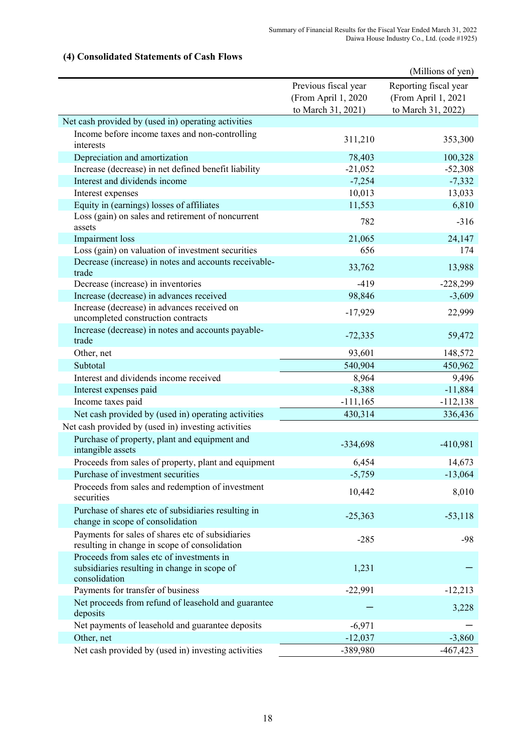|                                                                                            |                      | (Millions of yen)     |
|--------------------------------------------------------------------------------------------|----------------------|-----------------------|
|                                                                                            | Previous fiscal year | Reporting fiscal year |
|                                                                                            | (From April 1, 2020  | (From April 1, 2021   |
|                                                                                            | to March 31, 2021)   | to March 31, 2022)    |
| Net cash provided by (used in) operating activities                                        |                      |                       |
| Income before income taxes and non-controlling                                             | 311,210              | 353,300               |
| interests                                                                                  |                      |                       |
| Depreciation and amortization                                                              | 78,403               | 100,328               |
| Increase (decrease) in net defined benefit liability                                       | $-21,052$            | $-52,308$             |
| Interest and dividends income                                                              | $-7,254$             | $-7,332$              |
| Interest expenses                                                                          | 10,013               | 13,033                |
| Equity in (earnings) losses of affiliates                                                  | 11,553               | 6,810                 |
| Loss (gain) on sales and retirement of noncurrent<br>assets                                | 782                  | $-316$                |
| Impairment loss                                                                            | 21,065               | 24,147                |
| Loss (gain) on valuation of investment securities                                          | 656                  | 174                   |
| Decrease (increase) in notes and accounts receivable-<br>trade                             | 33,762               | 13,988                |
| Decrease (increase) in inventories                                                         | $-419$               | $-228,299$            |
| Increase (decrease) in advances received                                                   | 98,846               | $-3,609$              |
| Increase (decrease) in advances received on                                                |                      |                       |
| uncompleted construction contracts                                                         | $-17,929$            | 22,999                |
| Increase (decrease) in notes and accounts payable-<br>trade                                | $-72,335$            | 59,472                |
| Other, net                                                                                 | 93,601               | 148,572               |
| Subtotal                                                                                   | 540,904              | 450,962               |
| Interest and dividends income received                                                     | 8,964                | 9,496                 |
| Interest expenses paid                                                                     | $-8,388$             | $-11,884$             |
| Income taxes paid                                                                          | $-111,165$           | $-112,138$            |
| Net cash provided by (used in) operating activities                                        | 430,314              | 336,436               |
| Net cash provided by (used in) investing activities                                        |                      |                       |
| Purchase of property, plant and equipment and<br>intangible assets                         | $-334,698$           | $-410,981$            |
| Proceeds from sales of property, plant and equipment                                       | 6,454                | 14,673                |
| Purchase of investment securities                                                          | $-5,759$             | $-13,064$             |
| Proceeds from sales and redemption of investment                                           |                      |                       |
| securities                                                                                 | 10,442               | 8,010                 |
| Purchase of shares etc of subsidiaries resulting in<br>change in scope of consolidation    | $-25,363$            | $-53,118$             |
| Payments for sales of shares etc of subsidiaries                                           | $-285$               | $-98$                 |
| resulting in change in scope of consolidation<br>Proceeds from sales etc of investments in |                      |                       |
| subsidiaries resulting in change in scope of                                               | 1,231                |                       |
| consolidation<br>Payments for transfer of business                                         | $-22,991$            | $-12,213$             |
| Net proceeds from refund of leasehold and guarantee                                        |                      |                       |
| deposits                                                                                   |                      | 3,228                 |
| Net payments of leasehold and guarantee deposits                                           | $-6,971$             |                       |
| Other, net                                                                                 | $-12,037$            | $-3,860$              |
| Net cash provided by (used in) investing activities                                        | -389,980             | $-467,423$            |

# **(4) Consolidated Statements of Cash Flows**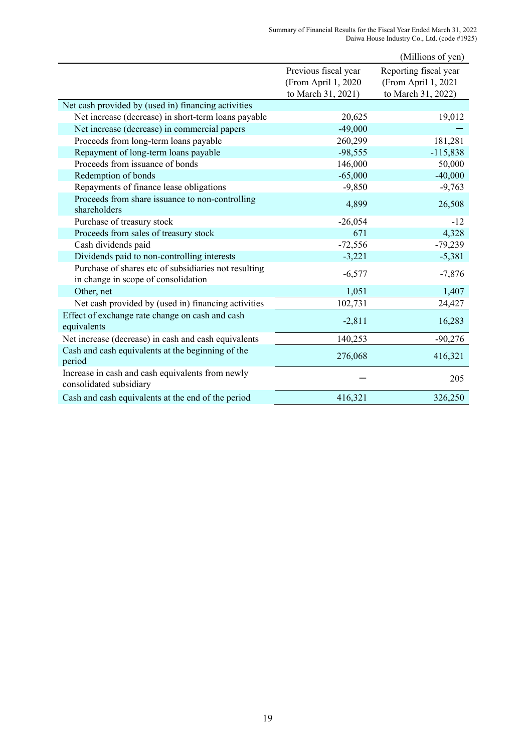|                                                                                             |                                                                   | (Millions of yen)                                                  |
|---------------------------------------------------------------------------------------------|-------------------------------------------------------------------|--------------------------------------------------------------------|
|                                                                                             | Previous fiscal year<br>(From April 1, 2020<br>to March 31, 2021) | Reporting fiscal year<br>(From April 1, 2021<br>to March 31, 2022) |
| Net cash provided by (used in) financing activities                                         |                                                                   |                                                                    |
| Net increase (decrease) in short-term loans payable                                         | 20,625                                                            | 19,012                                                             |
| Net increase (decrease) in commercial papers                                                | $-49,000$                                                         |                                                                    |
| Proceeds from long-term loans payable                                                       | 260,299                                                           | 181,281                                                            |
| Repayment of long-term loans payable                                                        | $-98,555$                                                         | $-115,838$                                                         |
| Proceeds from issuance of bonds                                                             | 146,000                                                           | 50,000                                                             |
| Redemption of bonds                                                                         | $-65,000$                                                         | $-40,000$                                                          |
| Repayments of finance lease obligations                                                     | $-9,850$                                                          | $-9,763$                                                           |
| Proceeds from share issuance to non-controlling<br>shareholders                             | 4,899                                                             | 26,508                                                             |
| Purchase of treasury stock                                                                  | $-26,054$                                                         | $-12$                                                              |
| Proceeds from sales of treasury stock                                                       | 671                                                               | 4,328                                                              |
| Cash dividends paid                                                                         | $-72,556$                                                         | $-79,239$                                                          |
| Dividends paid to non-controlling interests                                                 | $-3,221$                                                          | $-5,381$                                                           |
| Purchase of shares etc of subsidiaries not resulting<br>in change in scope of consolidation | $-6,577$                                                          | $-7,876$                                                           |
| Other, net                                                                                  | 1,051                                                             | 1,407                                                              |
| Net cash provided by (used in) financing activities                                         | 102,731                                                           | 24,427                                                             |
| Effect of exchange rate change on cash and cash<br>equivalents                              | $-2,811$                                                          | 16,283                                                             |
| Net increase (decrease) in cash and cash equivalents                                        | 140,253                                                           | $-90,276$                                                          |
| Cash and cash equivalents at the beginning of the<br>period                                 | 276,068                                                           | 416,321                                                            |
| Increase in cash and cash equivalents from newly<br>consolidated subsidiary                 |                                                                   | 205                                                                |
| Cash and cash equivalents at the end of the period                                          | 416,321                                                           | 326,250                                                            |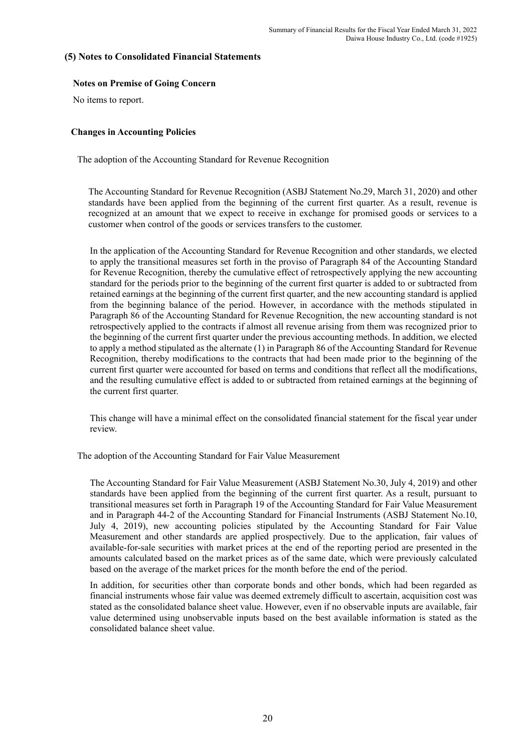# **(5) Notes to Consolidated Financial Statements**

#### **Notes on Premise of Going Concern**

No items to report.

#### **Changes in Accounting Policies**

The adoption of the Accounting Standard for Revenue Recognition

 The Accounting Standard for Revenue Recognition (ASBJ Statement No.29, March 31, 2020) and other standards have been applied from the beginning of the current first quarter. As a result, revenue is recognized at an amount that we expect to receive in exchange for promised goods or services to a customer when control of the goods or services transfers to the customer.

In the application of the Accounting Standard for Revenue Recognition and other standards, we elected to apply the transitional measures set forth in the proviso of Paragraph 84 of the Accounting Standard for Revenue Recognition, thereby the cumulative effect of retrospectively applying the new accounting standard for the periods prior to the beginning of the current first quarter is added to or subtracted from retained earnings at the beginning of the current first quarter, and the new accounting standard is applied from the beginning balance of the period. However, in accordance with the methods stipulated in Paragraph 86 of the Accounting Standard for Revenue Recognition, the new accounting standard is not retrospectively applied to the contracts if almost all revenue arising from them was recognized prior to the beginning of the current first quarter under the previous accounting methods. In addition, we elected to apply a method stipulated as the alternate (1) in Paragraph 86 of the Accounting Standard for Revenue Recognition, thereby modifications to the contracts that had been made prior to the beginning of the current first quarter were accounted for based on terms and conditions that reflect all the modifications, and the resulting cumulative effect is added to or subtracted from retained earnings at the beginning of the current first quarter.

This change will have a minimal effect on the consolidated financial statement for the fiscal year under review.

The adoption of the Accounting Standard for Fair Value Measurement

The Accounting Standard for Fair Value Measurement (ASBJ Statement No.30, July 4, 2019) and other standards have been applied from the beginning of the current first quarter. As a result, pursuant to transitional measures set forth in Paragraph 19 of the Accounting Standard for Fair Value Measurement and in Paragraph 44-2 of the Accounting Standard for Financial Instruments (ASBJ Statement No.10, July 4, 2019), new accounting policies stipulated by the Accounting Standard for Fair Value Measurement and other standards are applied prospectively. Due to the application, fair values of available-for-sale securities with market prices at the end of the reporting period are presented in the amounts calculated based on the market prices as of the same date, which were previously calculated based on the average of the market prices for the month before the end of the period.

In addition, for securities other than corporate bonds and other bonds, which had been regarded as financial instruments whose fair value was deemed extremely difficult to ascertain, acquisition cost was stated as the consolidated balance sheet value. However, even if no observable inputs are available, fair value determined using unobservable inputs based on the best available information is stated as the consolidated balance sheet value.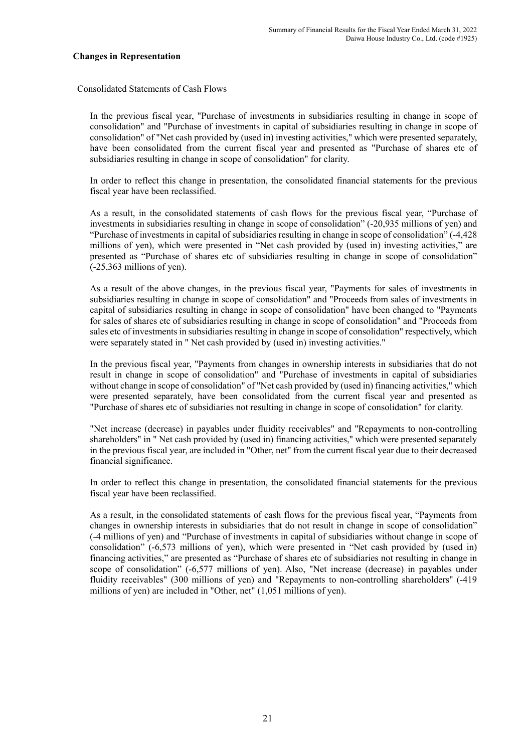#### **Changes in Representation**

Consolidated Statements of Cash Flows

In the previous fiscal year, "Purchase of investments in subsidiaries resulting in change in scope of consolidation" and "Purchase of investments in capital of subsidiaries resulting in change in scope of consolidation" of "Net cash provided by (used in) investing activities," which were presented separately, have been consolidated from the current fiscal year and presented as "Purchase of shares etc of subsidiaries resulting in change in scope of consolidation" for clarity.

In order to reflect this change in presentation, the consolidated financial statements for the previous fiscal year have been reclassified.

As a result, in the consolidated statements of cash flows for the previous fiscal year, "Purchase of investments in subsidiaries resulting in change in scope of consolidation" (-20,935 millions of yen) and "Purchase of investments in capital of subsidiaries resulting in change in scope of consolidation" (-4,428 millions of yen), which were presented in "Net cash provided by (used in) investing activities," are presented as "Purchase of shares etc of subsidiaries resulting in change in scope of consolidation" (-25,363 millions of yen).

As a result of the above changes, in the previous fiscal year, "Payments for sales of investments in subsidiaries resulting in change in scope of consolidation" and "Proceeds from sales of investments in capital of subsidiaries resulting in change in scope of consolidation" have been changed to "Payments for sales of shares etc of subsidiaries resulting in change in scope of consolidation" and "Proceeds from sales etc of investments in subsidiaries resulting in change in scope of consolidation" respectively, which were separately stated in " Net cash provided by (used in) investing activities."

In the previous fiscal year, "Payments from changes in ownership interests in subsidiaries that do not result in change in scope of consolidation" and "Purchase of investments in capital of subsidiaries without change in scope of consolidation" of "Net cash provided by (used in) financing activities," which were presented separately, have been consolidated from the current fiscal year and presented as "Purchase of shares etc of subsidiaries not resulting in change in scope of consolidation" for clarity.

"Net increase (decrease) in payables under fluidity receivables" and "Repayments to non-controlling shareholders" in " Net cash provided by (used in) financing activities," which were presented separately in the previous fiscal year, are included in "Other, net" from the current fiscal year due to their decreased financial significance.

In order to reflect this change in presentation, the consolidated financial statements for the previous fiscal year have been reclassified.

As a result, in the consolidated statements of cash flows for the previous fiscal year, "Payments from changes in ownership interests in subsidiaries that do not result in change in scope of consolidation" (-4 millions of yen) and "Purchase of investments in capital of subsidiaries without change in scope of consolidation" (-6,573 millions of yen), which were presented in "Net cash provided by (used in) financing activities," are presented as "Purchase of shares etc of subsidiaries not resulting in change in scope of consolidation" (-6,577 millions of yen). Also, "Net increase (decrease) in payables under fluidity receivables" (300 millions of yen) and "Repayments to non-controlling shareholders" (-419 millions of yen) are included in "Other, net" (1,051 millions of yen).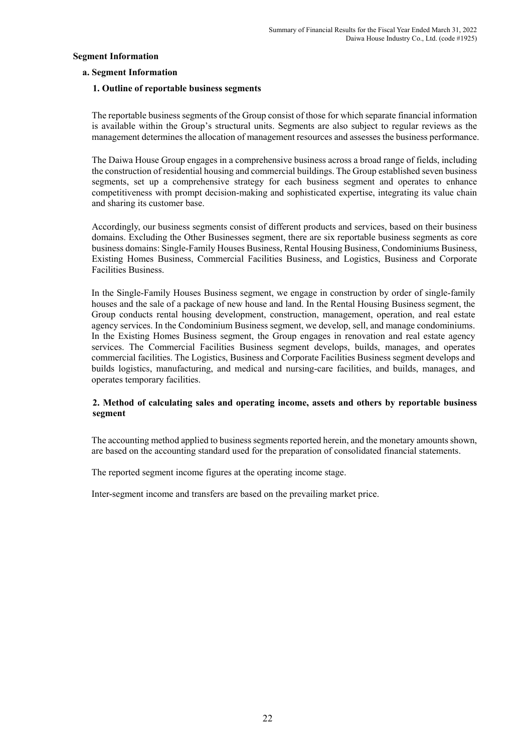#### **Segment Information**

#### **a. Segment Information**

#### **1. Outline of reportable business segments**

The reportable business segments of the Group consist of those for which separate financial information is available within the Group's structural units. Segments are also subject to regular reviews as the management determines the allocation of management resources and assesses the business performance.

The Daiwa House Group engages in a comprehensive business across a broad range of fields, including the construction of residential housing and commercial buildings. The Group established seven business segments, set up a comprehensive strategy for each business segment and operates to enhance competitiveness with prompt decision-making and sophisticated expertise, integrating its value chain and sharing its customer base.

Accordingly, our business segments consist of different products and services, based on their business domains. Excluding the Other Businesses segment, there are six reportable business segments as core business domains: Single-Family Houses Business, Rental Housing Business, Condominiums Business, Existing Homes Business, Commercial Facilities Business, and Logistics, Business and Corporate Facilities Business.

In the Single-Family Houses Business segment, we engage in construction by order of single-family houses and the sale of a package of new house and land. In the Rental Housing Business segment, the Group conducts rental housing development, construction, management, operation, and real estate agency services. In the Condominium Business segment, we develop, sell, and manage condominiums. In the Existing Homes Business segment, the Group engages in renovation and real estate agency services. The Commercial Facilities Business segment develops, builds, manages, and operates commercial facilities. The Logistics, Business and Corporate Facilities Business segment develops and builds logistics, manufacturing, and medical and nursing-care facilities, and builds, manages, and operates temporary facilities.

### **2. Method of calculating sales and operating income, assets and others by reportable business segment**

The accounting method applied to business segments reported herein, and the monetary amounts shown, are based on the accounting standard used for the preparation of consolidated financial statements.

The reported segment income figures at the operating income stage.

Inter-segment income and transfers are based on the prevailing market price.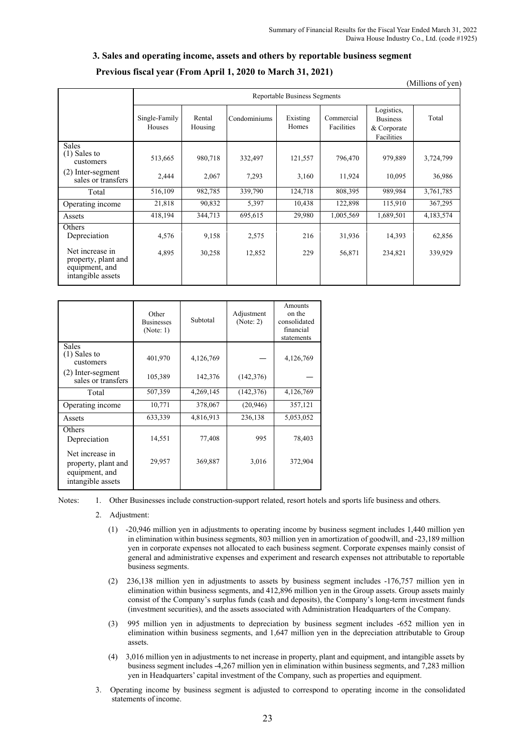# **3. Sales and operating income, assets and others by reportable business segment**

(Millions of yen)

|                                                                                    |                         | Reportable Business Segments |                 |                                                 |                  |                                                            |                   |  |  |  |
|------------------------------------------------------------------------------------|-------------------------|------------------------------|-----------------|-------------------------------------------------|------------------|------------------------------------------------------------|-------------------|--|--|--|
|                                                                                    | Single-Family<br>Houses | Rental<br>Housing            |                 | Condominiums<br>Commercial<br>Existing<br>Homes |                  | Logistics,<br><b>Business</b><br>& Corporate<br>Facilities | Total             |  |  |  |
| <b>Sales</b><br>$(1)$ Sales to<br>customers                                        | 513,665                 | 980,718                      | 332,497         | 121,557                                         | 796,470          | 979,889                                                    | 3,724,799         |  |  |  |
| (2) Inter-segment<br>sales or transfers                                            | 2,444                   | 2,067                        | 7,293           | 3,160                                           | 11,924           | 10,095                                                     | 36,986            |  |  |  |
| Total                                                                              | 516,109                 | 982,785                      | 339,790         | 124,718                                         | 808,395          | 989,984                                                    | 3,761,785         |  |  |  |
| Operating income                                                                   | 21,818                  | 90,832                       | 5,397           | 10,438                                          | 122,898          | 115,910                                                    | 367,295           |  |  |  |
| Assets                                                                             | 418,194                 | 344,713                      | 695,615         | 29,980                                          | 1,005,569        | 1,689,501                                                  | 4,183,574         |  |  |  |
| Others<br>Depreciation<br>Net increase in<br>property, plant and<br>equipment, and | 4,576<br>4,895          | 9,158<br>30,258              | 2,575<br>12,852 | 216<br>229                                      | 31,936<br>56,871 | 14,393<br>234,821                                          | 62,856<br>339,929 |  |  |  |
| intangible assets                                                                  |                         |                              |                 |                                                 |                  |                                                            |                   |  |  |  |

|                                                                               | Other<br><b>Businesses</b><br>(Note: 1) | Subtotal  | Adjustment<br>(Note: 2) | Amounts<br>on the<br>consolidated<br>financial<br>statements |
|-------------------------------------------------------------------------------|-----------------------------------------|-----------|-------------------------|--------------------------------------------------------------|
| <b>Sales</b><br>(1) Sales to<br>customers                                     | 401,970                                 | 4,126,769 |                         | 4,126,769                                                    |
| (2) Inter-segment<br>sales or transfers                                       | 105,389                                 | 142,376   | (142, 376)              |                                                              |
| Total                                                                         | 507,359                                 | 4,269,145 | (142, 376)              | 4,126,769                                                    |
| Operating income                                                              | 10,771                                  | 378,067   | (20, 946)               | 357,121                                                      |
| Assets                                                                        | 633,339                                 | 4,816,913 | 236,138                 | 5,053,052                                                    |
| Others<br>Depreciation                                                        | 14,551                                  | 77,408    | 995                     | 78,403                                                       |
| Net increase in<br>property, plant and<br>equipment, and<br>intangible assets | 29,957                                  | 369,887   | 3,016                   | 372,904                                                      |

Notes: 1. Other Businesses include construction-support related, resort hotels and sports life business and others.

- 2. Adjustment:
	- (1) -20,946 million yen in adjustments to operating income by business segment includes 1,440 million yen in elimination within business segments, 803 million yen in amortization of goodwill, and -23,189 million yen in corporate expenses not allocated to each business segment. Corporate expenses mainly consist of general and administrative expenses and experiment and research expenses not attributable to reportable business segments.
	- (2) 236,138 million yen in adjustments to assets by business segment includes -176,757 million yen in elimination within business segments, and 412,896 million yen in the Group assets. Group assets mainly consist of the Company's surplus funds (cash and deposits), the Company's long-term investment funds (investment securities), and the assets associated with Administration Headquarters of the Company.
	- (3) 995 million yen in adjustments to depreciation by business segment includes -652 million yen in elimination within business segments, and 1,647 million yen in the depreciation attributable to Group assets.
	- (4) 3,016 million yen in adjustments to net increase in property, plant and equipment, and intangible assets by business segment includes -4,267 million yen in elimination within business segments, and 7,283 million yen in Headquarters' capital investment of the Company, such as properties and equipment.
- 3. Operating income by business segment is adjusted to correspond to operating income in the consolidated statements of income.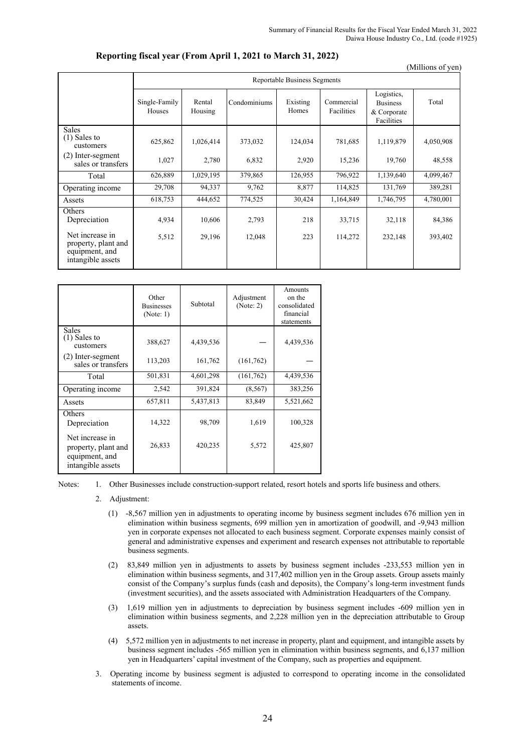|                                                                               |                         |                                     |              |                   |                          |                                                            | (Millions of yen) |  |  |  |
|-------------------------------------------------------------------------------|-------------------------|-------------------------------------|--------------|-------------------|--------------------------|------------------------------------------------------------|-------------------|--|--|--|
|                                                                               |                         | <b>Reportable Business Segments</b> |              |                   |                          |                                                            |                   |  |  |  |
|                                                                               | Single-Family<br>Houses | Rental<br>Housing                   | Condominiums | Existing<br>Homes | Commercial<br>Facilities | Logistics,<br><b>Business</b><br>& Corporate<br>Facilities | Total             |  |  |  |
| <b>Sales</b><br>$(1)$ Sales to<br>customers                                   | 625,862                 | 1,026,414                           | 373,032      | 124,034           | 781,685                  | 1,119,879                                                  | 4,050,908         |  |  |  |
| (2) Inter-segment<br>sales or transfers                                       | 1,027                   | 2,780                               | 6,832        | 2,920             | 15,236                   | 19,760                                                     | 48,558            |  |  |  |
| Total                                                                         | 626,889                 | 1,029,195                           | 379,865      | 126,955           | 796,922                  | 1,139,640                                                  | 4,099,467         |  |  |  |
| Operating income                                                              | 29,708                  | 94,337                              | 9,762        | 8,877             | 114,825                  | 131,769                                                    | 389,281           |  |  |  |
| Assets                                                                        | 618,753                 | 444,652                             | 774,525      | 30,424            | 1,164,849                | 1,746,795                                                  | 4,780,001         |  |  |  |
| Others<br>Depreciation                                                        | 4,934                   | 10,606                              | 2,793        | 218               | 33,715                   | 32,118                                                     | 84,386            |  |  |  |
| Net increase in<br>property, plant and<br>equipment, and<br>intangible assets | 5,512                   | 29,196                              | 12,048       | 223               | 114,272                  | 232,148                                                    | 393,402           |  |  |  |

#### **Reporting fiscal year (From April 1, 2021 to March 31, 2022)**

|                                                                               | Other<br><b>Businesses</b><br>(Note: 1) | Subtotal  | Adjustment<br>(Note: 2) | Amounts<br>on the<br>consolidated<br>financial<br>statements |
|-------------------------------------------------------------------------------|-----------------------------------------|-----------|-------------------------|--------------------------------------------------------------|
| <b>Sales</b><br>$(1)$ Sales to<br>customers                                   | 388,627                                 | 4,439,536 |                         | 4,439,536                                                    |
| (2) Inter-segment<br>sales or transfers                                       | 113,203                                 | 161,762   | (161, 762)              |                                                              |
| Total                                                                         | 501,831                                 | 4,601,298 | (161, 762)              | 4,439,536                                                    |
| Operating income                                                              | 2,542                                   | 391,824   | (8, 567)                | 383,256                                                      |
| Assets                                                                        | 657,811                                 | 5,437,813 | 83,849                  | 5,521,662                                                    |
| Others<br>Depreciation                                                        | 14,322                                  | 98,709    | 1,619                   | 100,328                                                      |
| Net increase in<br>property, plant and<br>equipment, and<br>intangible assets | 26,833                                  | 420,235   | 5,572                   | 425,807                                                      |

Notes: 1. Other Businesses include construction-support related, resort hotels and sports life business and others.

- 2. Adjustment:
	- (1) -8,567 million yen in adjustments to operating income by business segment includes 676 million yen in elimination within business segments, 699 million yen in amortization of goodwill, and -9,943 million yen in corporate expenses not allocated to each business segment. Corporate expenses mainly consist of general and administrative expenses and experiment and research expenses not attributable to reportable business segments.
	- (2) 83,849 million yen in adjustments to assets by business segment includes -233,553 million yen in elimination within business segments, and 317,402 million yen in the Group assets. Group assets mainly consist of the Company's surplus funds (cash and deposits), the Company's long-term investment funds (investment securities), and the assets associated with Administration Headquarters of the Company.
	- (3) 1,619 million yen in adjustments to depreciation by business segment includes -609 million yen in elimination within business segments, and 2,228 million yen in the depreciation attributable to Group assets.
	- (4) 5,572 million yen in adjustments to net increase in property, plant and equipment, and intangible assets by business segment includes -565 million yen in elimination within business segments, and 6,137 million yen in Headquarters' capital investment of the Company, such as properties and equipment.
- 3. Operating income by business segment is adjusted to correspond to operating income in the consolidated statements of income.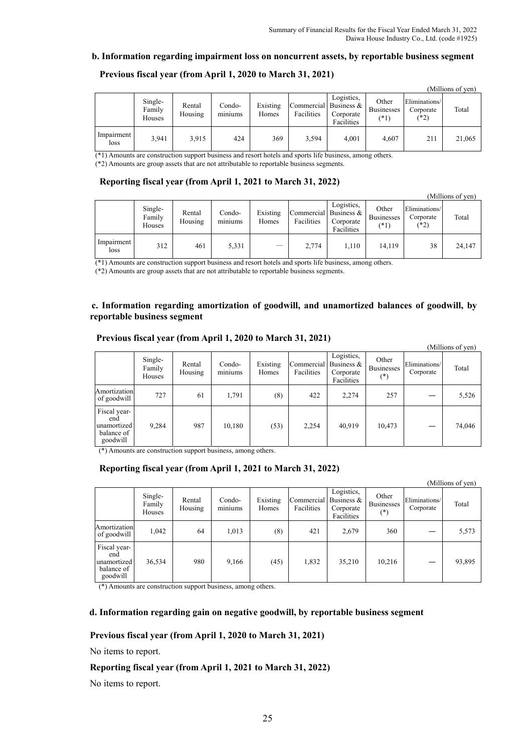#### **b. Information regarding impairment loss on noncurrent assets, by reportable business segment**

|                    |                             |                   |                                      |                   |                                     |                                       |                                      |                                    | (Millions of yen) |
|--------------------|-----------------------------|-------------------|--------------------------------------|-------------------|-------------------------------------|---------------------------------------|--------------------------------------|------------------------------------|-------------------|
|                    | Single-<br>Family<br>Houses | Rental<br>Housing | Condo-<br>$\cdot$ $\cdot$<br>miniums | Existing<br>Homes | Commercial Business &<br>Facilities | Logistics,<br>Corporate<br>Facilities | Other<br><b>Businesses</b><br>$(*1)$ | Eliminations/<br>Corporate<br>(*2) | Total             |
| Impairment<br>loss | 3.941                       | 3,915             | 424                                  | 369               | 3,594                               | 4,001                                 | 4,607                                | 211                                | 21,065            |

#### **Previous fiscal year (from April 1, 2020 to March 31, 2021)**

(\*1) Amounts are construction support business and resort hotels and sports life business, among others.

(\*2) Amounts are group assets that are not attributable to reportable business segments.

#### **Reporting fiscal year (from April 1, 2021 to March 31, 2022)**

|                    |                             |                   |                                      |                   |                                     |                                       |                                      |                                      | (Millions of yen) |
|--------------------|-----------------------------|-------------------|--------------------------------------|-------------------|-------------------------------------|---------------------------------------|--------------------------------------|--------------------------------------|-------------------|
|                    | Single-<br>Family<br>Houses | Rental<br>Housing | Condo-<br>$\cdot$ $\cdot$<br>miniums | Existing<br>Homes | Commercial Business &<br>Facilities | Logistics,<br>Corporate<br>Facilities | Other<br><b>Businesses</b><br>$(*1)$ | Eliminations/<br>Corporate<br>$(*2)$ | Total             |
| Impairment<br>loss | 312                         | 461               | 5,331                                | $\sim$            | 2,774                               | 1,110                                 | 14,119                               | 38                                   | 24,147            |

(\*1) Amounts are construction support business and resort hotels and sports life business, among others.

(\*2) Amounts are group assets that are not attributable to reportable business segments.

#### **c. Information regarding amortization of goodwill, and unamortized balances of goodwill, by reportable business segment**

|                                                              |                             |                   |                                      |                   |                                     |                                       |                                        |                            | (Millions of yen) |
|--------------------------------------------------------------|-----------------------------|-------------------|--------------------------------------|-------------------|-------------------------------------|---------------------------------------|----------------------------------------|----------------------------|-------------------|
|                                                              | Single-<br>Family<br>Houses | Rental<br>Housing | Condo-<br>$\cdot$ $\cdot$<br>miniums | Existing<br>Homes | Commercial Business &<br>Facilities | Logistics,<br>Corporate<br>Facilities | Other<br><b>Businesses</b><br>$^{(*)}$ | Eliminations/<br>Corporate | Total             |
| Amortization<br>of goodwill                                  | 727                         | 61                | 1,791                                | (8)               | 422                                 | 2,274                                 | 257                                    |                            | 5,526             |
| Fiscal year-<br>end<br>unamortized<br>balance of<br>goodwill | 9,284                       | 987               | 10,180                               | (53)              | 2,254                               | 40.919                                | 10,473                                 |                            | 74,046            |

#### **Previous fiscal year (from April 1, 2020 to March 31, 2021)**

(\*) Amounts are construction support business, among others.

### **Reporting fiscal year (from April 1, 2021 to March 31, 2022)**

|                                                              | (Millions of yen)           |                   |                   |                   |                                     |                                       |                                        |                            |        |
|--------------------------------------------------------------|-----------------------------|-------------------|-------------------|-------------------|-------------------------------------|---------------------------------------|----------------------------------------|----------------------------|--------|
|                                                              | Single-<br>Family<br>Houses | Rental<br>Housing | Condo-<br>miniums | Existing<br>Homes | Commercial Business &<br>Facilities | Logistics,<br>Corporate<br>Facilities | Other<br><b>Businesses</b><br>$^{(*)}$ | Eliminations/<br>Corporate | Total  |
| Amortization<br>of goodwill                                  | 1,042                       | 64                | 1,013             | (8)               | 421                                 | 2,679                                 | 360                                    |                            | 5,573  |
| Fiscal year-<br>end<br>unamortized<br>balance of<br>goodwill | 36,534                      | 980               | 9,166             | (45)              | 1,832                               | 35,210                                | 10,216                                 |                            | 93,895 |

(\*) Amounts are construction support business, among others.

#### **d. Information regarding gain on negative goodwill, by reportable business segment**

#### **Previous fiscal year (from April 1, 2020 to March 31, 2021)**

No items to report.

### **Reporting fiscal year (from April 1, 2021 to March 31, 2022)**

No items to report.